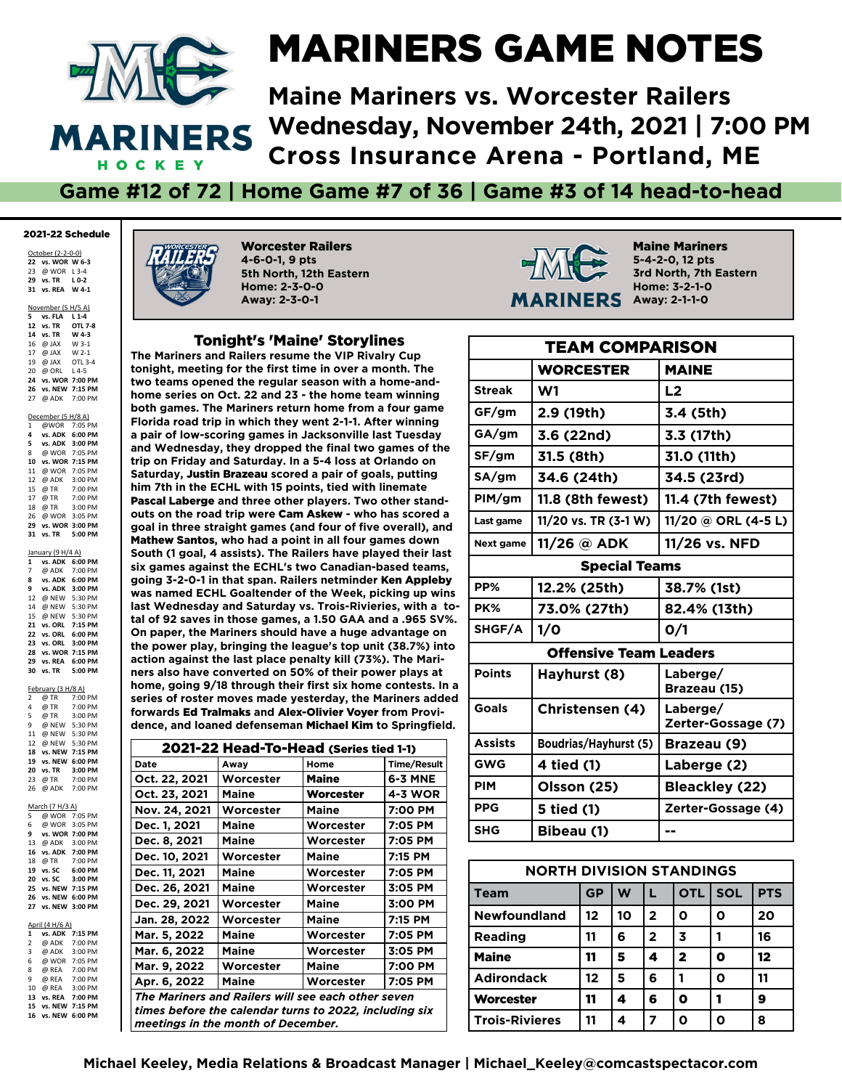

#### MARINERS GAME NOTES

**Maine Mariners vs. Worcester Railers Wednesday, November 24th, 2021 | 7:00 PM Cross Insurance Arena - Portland, ME**

**Game #12 of 72 | Home Game #7 of 36 | Game #3 of 14 head-to-head**

#### 2021-22 Schedule

October (2-2-0-0) **vs. WOR W 6-3** @ WOR L 3-4 **vs. TR L 0-2 31 vs. REA W 4-1**

| November (5 H/5 A) |                                |  |  |  |  |
|--------------------|--------------------------------|--|--|--|--|
|                    | 5 vs. FLA L 1-4                |  |  |  |  |
|                    | 12 vs. TR OTL 7-8              |  |  |  |  |
|                    | 14 vs. TR W 4-3                |  |  |  |  |
|                    | 16 @ JAX W 3-1                 |  |  |  |  |
|                    | 17 @ JAX W 2-1                 |  |  |  |  |
|                    | 19 @ JAX OTL 3-4               |  |  |  |  |
|                    | 20 @ ORL L4-5                  |  |  |  |  |
| 24                 | vs. WOR 7:00 PM                |  |  |  |  |
|                    | 26 vs. NEW 7:15 PM             |  |  |  |  |
| 27                 | @ ADK 7:00 PM                  |  |  |  |  |
|                    |                                |  |  |  |  |
| December (5 H/8 A) |                                |  |  |  |  |
|                    | 1 @WOR 7:05 PM                 |  |  |  |  |
|                    | $A$ we any $A \cdot A \cdot A$ |  |  |  |  |

|    | 4 vs. ADK 6:00 PM |  |
|----|-------------------|--|
|    | 5 vs. ADK 3:00 PM |  |
|    | 8 @ WOR 7:05 PM   |  |
| 10 | vs. WOR 7:15 PM   |  |
| 11 | @ WOR 7:05 PM     |  |
| 12 | @ ADK 3:00 PM     |  |
| 15 | @ TR 7:00 PM      |  |
| 17 | @ TR 7:00 PM      |  |
| 18 | @ TR 3:00 PM      |  |
|    | 26 @ WOR 3:05 PM  |  |
| 29 | vs. WOR 3:00 PM   |  |
| 31 | vs. TR 5:00 PM    |  |
|    |                   |  |
|    |                   |  |

| January (9 H/4 A) |                 |         |  |  |  |
|-------------------|-----------------|---------|--|--|--|
| $\mathbf{1}$      | vs. ADK         | 6:00 PM |  |  |  |
| 7                 | @ ADK 7:00 PM   |         |  |  |  |
| 8                 | vs. ADK         | 6:00 PM |  |  |  |
| 9                 | vs. ADK         | 3:00 PM |  |  |  |
| 12                | @ NEW           | 5:30 PM |  |  |  |
| 14                | @ NEW           | 5:30 PM |  |  |  |
| 15                | @ NEW           | 5:30 PM |  |  |  |
| 21                | vs. ORL 7:15 PM |         |  |  |  |
| 22                | vs. ORL         | 6:00 PM |  |  |  |
| 23                | vs. ORL         | 3:00 PM |  |  |  |
| 28                | vs. WOR 7:15 PM |         |  |  |  |
| 29                | vs. REA         | 6:00 PM |  |  |  |
| 30                | vs. TR 5:00 PM  |         |  |  |  |

| February (3 H/8 A)      |                    |                 |  |  |  |
|-------------------------|--------------------|-----------------|--|--|--|
| $\overline{2}$          | @ TR<br>@ TR       | 7:00 PM         |  |  |  |
| 4                       |                    | 7:00 PM         |  |  |  |
| 5                       | @ TR               | 3:00 PM         |  |  |  |
| 9                       |                    | @ NEW 5:30 PM   |  |  |  |
|                         | 11 @ NEW 5:30 PM   |                 |  |  |  |
| 12                      | @ NFW 5:30 PM      |                 |  |  |  |
| 18                      | vs. NEW            | 7:15 PM         |  |  |  |
| 19                      |                    | vs. NEW 6:00 PM |  |  |  |
| 20                      | vs. TR             | 3:00 PM         |  |  |  |
| 23                      | @ TR               | 7:00 PM         |  |  |  |
| 26                      | @ ADK              | 7:00 PM         |  |  |  |
|                         |                    |                 |  |  |  |
|                         | March (7 H/3 A)    |                 |  |  |  |
| 5                       |                    | @ WOR 7:05 PM   |  |  |  |
| 6                       |                    | @ WOR 3:05 PM   |  |  |  |
| 9                       |                    | vs. WOR 7:00 PM |  |  |  |
|                         | 13 @ ADK 3:00 PM   |                 |  |  |  |
|                         | 16 vs. ADK 7:00 PM |                 |  |  |  |
|                         | 18 @ TR 7:00 PM    |                 |  |  |  |
|                         | 19 vs. SC 6:00 PM  |                 |  |  |  |
| 20                      | vs. SC 3:00 PM     |                 |  |  |  |
| 25                      |                    | vs. NEW 7:15 PM |  |  |  |
| 26                      |                    | vs. NEW 6:00 PM |  |  |  |
| 27                      |                    | vs. NEW 3:00 PM |  |  |  |
|                         |                    |                 |  |  |  |
|                         | April (4 H/6 A)    |                 |  |  |  |
| $\mathbf{1}$            | vs. ADK            | 7:15 PM         |  |  |  |
| $\overline{2}$          | @ ADK              | 7:00 PM         |  |  |  |
| $\overline{\mathbf{3}}$ | @ ADK              | 3:00 PM         |  |  |  |
| 6                       |                    | @ WOR 7:05 PM   |  |  |  |
| 8                       | @ REA 7:00 PM      |                 |  |  |  |
| 9                       | @ REA 7:00 PM      |                 |  |  |  |
| 10                      | @ REA              | 3:00 PM         |  |  |  |
| 13                      | vs. REA            | 7:00 PM         |  |  |  |

**15 vs. NEW 7:15 PM 16 vs. NEW 6:00 PM**



Worcester Railers **4-6-0-1, 9 pts 5th North, 12th Eastern Home: 2-3-0-0 Away: 2-3-0-1**

#### Tonight's 'Maine' Storylines

**The Mariners and Railers resume the VIP Rivalry Cup**  tonight, meeting for the first time in over a month. The **two teams opened the regular season with a home-andhome series on Oct. 22 and 23 - the home team winning both games. The Mariners return home from a four game Florida road trip in which they went 2-1-1. After winning a pair of low-scoring games in Jacksonville last Tuesday and Wednesday, they dropped the fnal two games of the trip on Friday and Saturday. In a 5-4 loss at Orlando on Saturday,** Justin Brazeau **scored a pair of goals, putting him 7th in the ECHL with 15 points, tied with linemate**  Pascal Laberge **and three other players. Two other standouts on the road trip were** Cam Askew **- who has scored a goal in three straight games (and four of fve overall), and**  Mathew Santos**, who had a point in all four games down South (1 goal, 4 assists). The Railers have played their last six games against the ECHL's two Canadian-based teams, going 3-2-0-1 in that span. Railers netminder** Ken Appleby **was named ECHL Goaltender of the Week, picking up wins last Wednesday and Saturday vs. Trois-Rivieries, with a total of 92 saves in those games, a 1.50 GAA and a .965 SV%. On paper, the Mariners should have a huge advantage on the power play, bringing the league's top unit (38.7%) into action against the last place penalty kill (73%). The Mariners also have converted on 50% of their power plays at**  home, going 9/18 through their first six home contests. In a **series of roster moves made yesterday, the Mariners added forwards** Ed Tralmaks **and** Alex-Olivier Voyer **from Providence, and loaned defenseman** Michael Kim **to Springfeld.**

| 2021-22 Head-To-Head (Series tied 1-1)                 |                                                    |           |             |  |
|--------------------------------------------------------|----------------------------------------------------|-----------|-------------|--|
| Date                                                   | Away                                               | Home      | Time/Result |  |
| Oct. 22, 2021                                          | Worcester                                          | Maine     | 6-3 MNE     |  |
| Oct. 23, 2021                                          | Maine                                              | Worcester | 4-3 WOR     |  |
| Nov. 24, 2021                                          | Worcester                                          | Maine     | 7:00 PM     |  |
| Dec. 1, 2021                                           | Maine                                              | Worcester | 7:05 PM     |  |
| Dec. 8, 2021                                           | Maine                                              | Worcester | 7:05 PM     |  |
| Dec. 10, 2021                                          | Worcester                                          | Maine     | 7:15 PM     |  |
| Dec. 11, 2021                                          | Maine                                              | Worcester | 7:05 PM     |  |
| Dec. 26, 2021                                          | Maine                                              | Worcester | 3:05 PM     |  |
| Dec. 29, 2021                                          | Worcester                                          | Maine     | 3:00 PM     |  |
| Jan. 28, 2022                                          | Worcester                                          | Maine     | 7:15 PM     |  |
| Mar. 5, 2022                                           | Maine                                              | Worcester | 7:05 PM     |  |
| Mar. 6, 2022                                           | Maine                                              | Worcester | 3:05 PM     |  |
| Mar. 9, 2022                                           | Worcester                                          | Maine     | 7:00 PM     |  |
| Apr. 6, 2022                                           | Maine                                              | Worcester | 7:05 PM     |  |
|                                                        | The Mariners and Railers will see each other seven |           |             |  |
| times before the calendar turns to 2022, including six |                                                    |           |             |  |
| meetings in the month of December.                     |                                                    |           |             |  |



Maine Mariners **5-4-2-0, 12 pts 3rd North, 7th Eastern Home: 3-2-1-0 ERS** Away: 2-1-1-0

| TEAM COMPARISON |                               |                                |  |
|-----------------|-------------------------------|--------------------------------|--|
|                 | <b>WORCESTER</b>              | <b>MAINE</b>                   |  |
| <b>Streak</b>   | W1                            | L2                             |  |
| GF/gm           | 2.9 (19th)                    | 3.4 (5th)                      |  |
| GA/gm           | 3.6 (22nd)                    | 3.3 (17th)                     |  |
| SF/gm           | 31.5 (8th)                    | 31.0 (11th)                    |  |
| SA/gm           | 34.6 (24th)                   | 34.5 (23rd)                    |  |
| PIM/gm          | 11.8 (8th fewest)             | 11.4 (7th fewest)              |  |
| Last game       | 11/20 vs. TR (3-1 W)          | 11/20 @ ORL (4-5 L)            |  |
| Next game       | $11/26$ @ ADK                 | 11/26 vs. NFD                  |  |
|                 | <b>Special Teams</b>          |                                |  |
| PP%             | 12.2% (25th)                  | 38.7% (1st)                    |  |
| PK%             | 73.0% (27th)                  | 82.4% (13th)                   |  |
| SHGF/A          | 1/0                           | O/1                            |  |
|                 | <b>Offensive Team Leaders</b> |                                |  |
| <b>Points</b>   | Hayhurst (8)                  | Laberge/<br>Brazeau (15)       |  |
| Goals           | <b>Christensen (4)</b>        | Laberge/<br>Zerter-Gossage (7) |  |
| <b>Assists</b>  | Boudrias/Hayhurst (5)         | Brazeau (9)                    |  |
| <b>GWG</b>      | 4 tied (1)                    | Laberge (2)                    |  |
| <b>PIM</b>      | Olsson (25)                   | <b>Bleackley (22)</b>          |  |
| <b>PPG</b>      | 5 tied (1)                    | Zerter-Gossage (4)             |  |
| <b>SHG</b>      | Bibeau (1)                    |                                |  |

| <b>NORTH DIVISION STANDINGS</b> |    |    |              |             |            |            |
|---------------------------------|----|----|--------------|-------------|------------|------------|
| <b>Team</b>                     | GP | W  |              | <b>OTL</b>  | <b>SOL</b> | <b>PTS</b> |
| <b>Newfoundland</b>             | 12 | 10 | $\mathbf{2}$ | Ω           | ი          | 20         |
| <b>Reading</b>                  | 11 | 6  | $\mathbf{2}$ | 3           |            | 16         |
| <b>Maine</b>                    | 11 | 5  | 4            | $\mathbf 2$ | O          | 12         |
| <b>Adirondack</b>               | 12 | 5  | 6            | 1           | ი          | 11         |
| Worcester                       | 11 | 4  | 6            | Ω           |            | 9          |
| <b>Trois-Rivieres</b>           | 11 |    | 7            |             |            | 8          |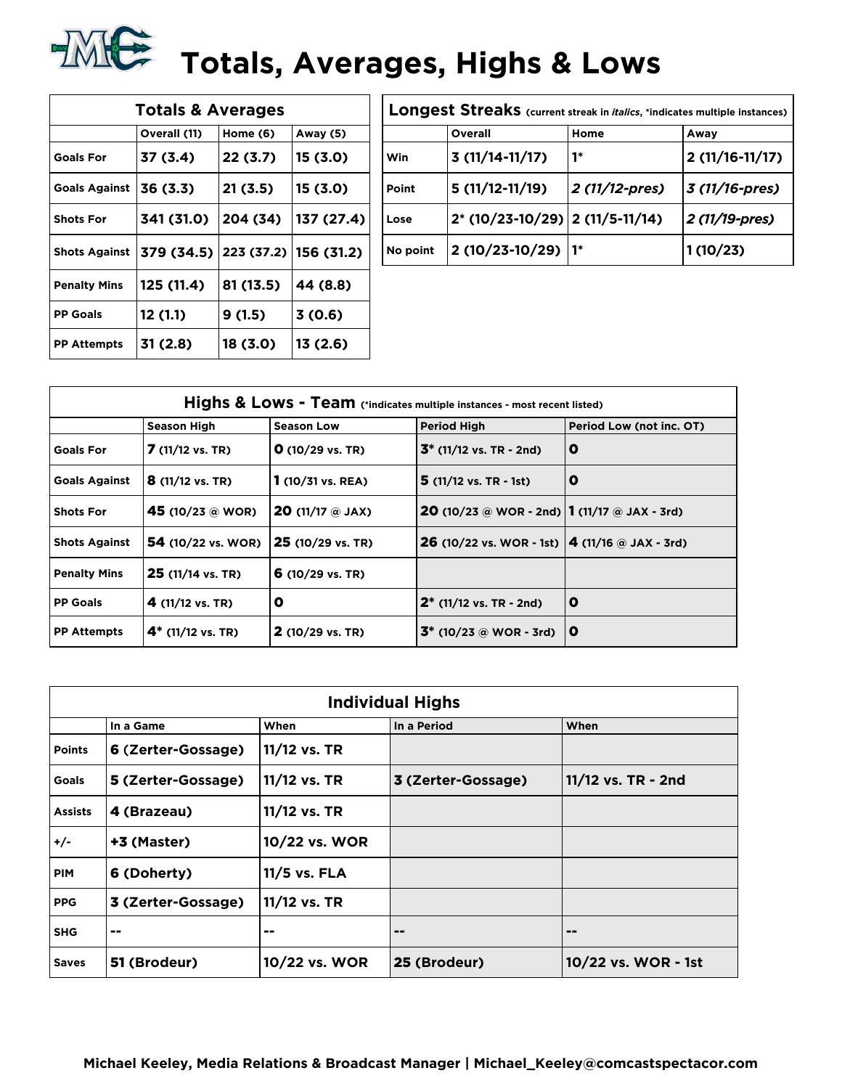## **TALE:** Totals, Averages, Highs & Lows

| <b>Totals &amp; Averages</b> |              |            |            |  |  |  |
|------------------------------|--------------|------------|------------|--|--|--|
|                              | Overall (11) | Home (6)   | Away (5)   |  |  |  |
| <b>Goals For</b>             | 37 (3.4)     | 22(3.7)    | 15 (3.0)   |  |  |  |
| <b>Goals Against</b>         | 36 (3.3)     | 21 (3.5)   | 15 (3.0)   |  |  |  |
| <b>Shots For</b>             | 341 (31.0)   | 204 (34)   | 137 (27.4) |  |  |  |
| <b>Shots Against</b>         | 379 (34.5)   | 223 (37.2) | 156 (31.2) |  |  |  |
| <b>Penalty Mins</b>          | 125(11.4)    | 81 (13.5)  | 44 (8.8)   |  |  |  |
| <b>PP Goals</b>              | 12 (1.1)     | 9(1.5)     | 3(0.6)     |  |  |  |
| <b>PP Attempts</b>           | 31 (2.8)     | 18 (3.0)   | 13 (2.6)   |  |  |  |

| Longest Streaks (current streak in <i>italics</i> , *indicates multiple instances) |                                 |                |                  |  |
|------------------------------------------------------------------------------------|---------------------------------|----------------|------------------|--|
|                                                                                    | Overall                         | Home           | Away             |  |
| Win                                                                                | $3(11/14-11/17)$                | 1*             | $2(11/16-11/17)$ |  |
| Point                                                                              | $5(11/12-11/19)$                | 2 (11/12-pres) | 3 (11/16-pres)   |  |
| Lose                                                                               | 2* (10/23-10/29) 2 (11/5-11/14) |                | 2 (11/19-pres)   |  |
| No point                                                                           | 2 (10/23-10/29)                 |                | 1(10/23)         |  |

| Highs & Lows - Team (*indicates multiple instances - most recent listed) |                            |                                      |                                                            |                          |  |
|--------------------------------------------------------------------------|----------------------------|--------------------------------------|------------------------------------------------------------|--------------------------|--|
|                                                                          | <b>Season High</b>         | <b>Season Low</b>                    | <b>Period High</b>                                         | Period Low (not inc. OT) |  |
| <b>Goals For</b>                                                         | 7 (11/12 vs. TR)           | $O(10/29 \text{ vs. TR})$            | $3^*$ (11/12 vs. TR - 2nd)                                 | O                        |  |
| <b>Goals Against</b>                                                     | <b>8</b> (11/12 vs. TR)    | $1(10/31 \text{ vs. } REA)$          | $5(11/12 \text{ vs. TR } -1st)$                            | O                        |  |
| <b>Shots For</b>                                                         | 45 (10/23 @ WOR)           | <b>20</b> (11/17 $\circledcirc$ JAX) | <b>20</b> (10/23 @ WOR - 2nd) <b>1</b> (11/17 @ JAX - 3rd) |                          |  |
| <b>Shots Against</b>                                                     | <b>54</b> (10/22 vs. WOR)  | 25 (10/29 vs. TR)                    | <b>26</b> (10/22 vs. WOR - 1st) $ 4 (11/16)$ a JAX - 3rd)  |                          |  |
| <b>Penalty Mins</b>                                                      | 25 (11/14 vs. TR)          | 6 $(10/29 \text{ vs. TR})$           |                                                            |                          |  |
| <b>PP Goals</b>                                                          | 4 $(11/12 \text{ vs. TR})$ | O                                    | $2^*$ (11/12 vs. TR - 2nd)                                 | O                        |  |
| <b>PP Attempts</b>                                                       | $4^*$ (11/12 vs. TR)       | $2(10/29 \text{ vs. TR})$            | $3^*$ (10/23 @ WOR - 3rd)                                  | O                        |  |

| <b>Individual Highs</b> |                    |               |                    |                     |  |
|-------------------------|--------------------|---------------|--------------------|---------------------|--|
|                         | In a Game          | When          | In a Period        | When                |  |
| <b>Points</b>           | 6 (Zerter-Gossage) | 11/12 vs. TR  |                    |                     |  |
| Goals                   | 5 (Zerter-Gossage) | 11/12 vs. TR  | 3 (Zerter-Gossage) | 11/12 vs. TR - 2nd  |  |
| <b>Assists</b>          | 4 (Brazeau)        | 11/12 vs. TR  |                    |                     |  |
| $+/-$                   | +3 (Master)        | 10/22 vs. WOR |                    |                     |  |
| <b>PIM</b>              | 6 (Doherty)        | 11/5 vs. FLA  |                    |                     |  |
| <b>PPG</b>              | 3 (Zerter-Gossage) | 11/12 vs. TR  |                    |                     |  |
| <b>SHG</b>              | --                 | --            | --                 | $=$ $-$             |  |
| <b>Saves</b>            | 51 (Brodeur)       | 10/22 vs. WOR | 25 (Brodeur)       | 10/22 vs. WOR - 1st |  |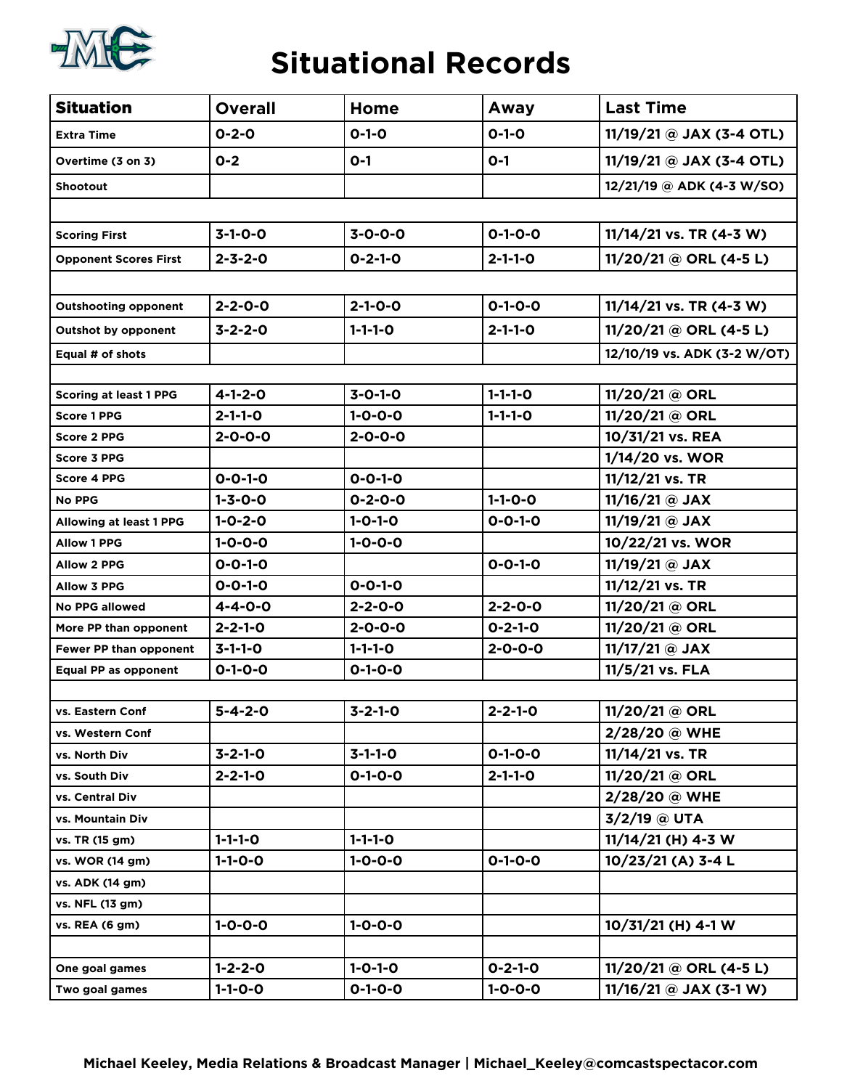

#### **Situational Records**

| <b>Situation</b>              | <b>Overall</b>  | Home            | Away            | <b>Last Time</b>            |
|-------------------------------|-----------------|-----------------|-----------------|-----------------------------|
| <b>Extra Time</b>             | $0 - 2 - 0$     | $0 - 1 - 0$     | $0 - 1 - 0$     | 11/19/21 @ JAX (3-4 OTL)    |
| Overtime (3 on 3)             | $0 - 2$         | $O-1$           | $O-1$           | 11/19/21 @ JAX (3-4 OTL)    |
| <b>Shootout</b>               |                 |                 |                 | 12/21/19 @ ADK (4-3 W/SO)   |
|                               |                 |                 |                 |                             |
| <b>Scoring First</b>          | $3-1-0-0$       | $3 - 0 - 0 - 0$ | $0 - 1 - 0 - 0$ | $11/14/21$ vs. TR (4-3 W)   |
| <b>Opponent Scores First</b>  | $2 - 3 - 2 - 0$ | $0 - 2 - 1 - 0$ | $2 - 1 - 1 - 0$ | 11/20/21 @ ORL (4-5 L)      |
|                               |                 |                 |                 |                             |
| <b>Outshooting opponent</b>   | $2 - 2 - 0 - 0$ | $2 - 1 - 0 - 0$ | $0 - 1 - 0 - 0$ | $11/14/21$ vs. TR (4-3 W)   |
| <b>Outshot by opponent</b>    | $3 - 2 - 2 - 0$ | $1 - 1 - 1 - 0$ | $2 - 1 - 1 - 0$ | $11/20/21 @ ORL (4-5 L)$    |
| Equal # of shots              |                 |                 |                 | 12/10/19 vs. ADK (3-2 W/OT) |
|                               |                 |                 |                 |                             |
| <b>Scoring at least 1 PPG</b> | $4 - 1 - 2 - 0$ | $3 - 0 - 1 - 0$ | $1 - 1 - 1 - 0$ | 11/20/21 @ ORL              |
| <b>Score 1 PPG</b>            | $2 - 1 - 1 - 0$ | $1 - 0 - 0 - 0$ | $1 - 1 - 1 - 0$ | 11/20/21 @ ORL              |
| <b>Score 2 PPG</b>            | $2 - 0 - 0 - 0$ | $2 - 0 - 0 - 0$ |                 | 10/31/21 vs. REA            |
| Score 3 PPG                   |                 |                 |                 | 1/14/20 vs. WOR             |
| <b>Score 4 PPG</b>            | $0 - 0 - 1 - 0$ | $0 - 0 - 1 - 0$ |                 | 11/12/21 vs. TR             |
| <b>No PPG</b>                 | $1 - 3 - 0 - 0$ | $0 - 2 - 0 - 0$ | $1 - 1 - 0 - 0$ | 11/16/21 @ JAX              |
| Allowing at least 1 PPG       | $1 - 0 - 2 - 0$ | $1 - 0 - 1 - 0$ | $0 - 0 - 1 - 0$ | 11/19/21 @ JAX              |
| <b>Allow 1 PPG</b>            | $1 - 0 - 0 - 0$ | $1 - 0 - 0 - 0$ |                 | 10/22/21 vs. WOR            |
| <b>Allow 2 PPG</b>            | $0 - 0 - 1 - 0$ |                 | $0 - 0 - 1 - 0$ | 11/19/21 @ JAX              |
| <b>Allow 3 PPG</b>            | $0 - 0 - 1 - 0$ | $0 - 0 - 1 - 0$ |                 | 11/12/21 vs. TR             |
| <b>No PPG allowed</b>         | $4 - 4 - 0 - 0$ | $2 - 2 - 0 - 0$ | $2 - 2 - 0 - 0$ | 11/20/21 @ ORL              |
| More PP than opponent         | $2 - 2 - 1 - 0$ | $2 - 0 - 0 - 0$ | $0 - 2 - 1 - 0$ | 11/20/21 @ ORL              |
| Fewer PP than opponent        | $3 - 1 - 1 - 0$ | $1 - 1 - 1 - 0$ | $2 - 0 - 0 - 0$ | 11/17/21 @ JAX              |
| Equal PP as opponent          | $0 - 1 - 0 - 0$ | $0 - 1 - 0 - 0$ |                 | 11/5/21 vs. FLA             |
|                               |                 |                 |                 |                             |
| vs. Eastern Conf              | $5 - 4 - 2 - 0$ | $3 - 2 - 1 - 0$ | $2 - 2 - 1 - 0$ | 11/20/21 @ ORL              |
| vs. Western Conf              |                 |                 |                 | 2/28/20 @ WHE               |
| vs. North Div                 | $3 - 2 - 1 - 0$ | $3 - 1 - 1 - 0$ | $0 - 1 - 0 - 0$ | 11/14/21 vs. TR             |
| vs. South Div                 | $2 - 2 - 1 - 0$ | $0 - 1 - 0 - 0$ | $2 - 1 - 1 - 0$ | 11/20/21 @ ORL              |
| vs. Central Div               |                 |                 |                 | 2/28/20 @ WHE               |
| vs. Mountain Div              |                 |                 |                 | 3/2/19 @ UTA                |
| vs. TR (15 gm)                | $1 - 1 - 1 - 0$ | $1 - 1 - 1 - 0$ |                 | $11/14/21$ (H) 4-3 W        |
| vs. WOR (14 gm)               | $1 - 1 - 0 - 0$ | $1 - 0 - 0 - 0$ | $0 - 1 - 0 - 0$ | 10/23/21 (A) 3-4 L          |
| vs. ADK (14 gm)               |                 |                 |                 |                             |
| vs. NFL (13 gm)               |                 |                 |                 |                             |
| vs. REA (6 gm)                | $1 - 0 - 0 - 0$ | $1 - 0 - 0 - 0$ |                 | 10/31/21 (H) 4-1 W          |
|                               |                 |                 |                 |                             |
| One goal games                | $1 - 2 - 2 - 0$ | $1 - 0 - 1 - 0$ | $0 - 2 - 1 - 0$ | 11/20/21 @ ORL (4-5 L)      |
| Two goal games                | $1 - 1 - 0 - 0$ | $0 - 1 - 0 - 0$ | $1 - 0 - 0 - 0$ | $11/16/21$ @ JAX (3-1 W)    |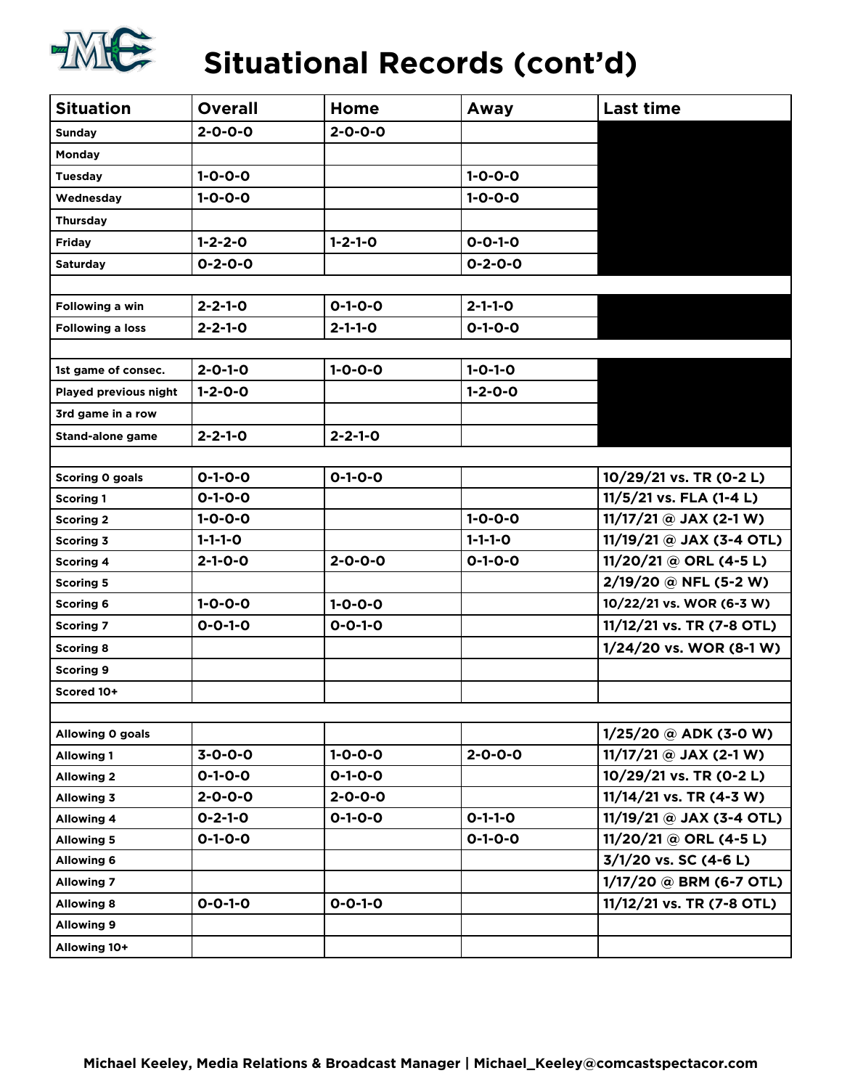

### **Situational Records (cont'd)**

| <b>Situation</b>        | <b>Overall</b>  | Home            | Away            | <b>Last time</b>           |
|-------------------------|-----------------|-----------------|-----------------|----------------------------|
| Sunday                  | $2 - 0 - 0 - 0$ | $2 - 0 - 0 - 0$ |                 |                            |
| Monday                  |                 |                 |                 |                            |
| <b>Tuesday</b>          | $1 - 0 - 0 - 0$ |                 | $1 - 0 - 0 - 0$ |                            |
| Wednesday               | $1 - 0 - 0 - 0$ |                 | $1 - 0 - 0 - 0$ |                            |
| <b>Thursday</b>         |                 |                 |                 |                            |
| Friday                  | $1 - 2 - 2 - 0$ | $1 - 2 - 1 - 0$ | $0 - 0 - 1 - 0$ |                            |
| <b>Saturday</b>         | $0 - 2 - 0 - 0$ |                 | $0 - 2 - 0 - 0$ |                            |
|                         |                 |                 |                 |                            |
| Following a win         | $2 - 2 - 1 - 0$ | $0 - 1 - 0 - 0$ | $2 - 1 - 1 - 0$ |                            |
| Following a loss        | $2 - 2 - 1 - 0$ | $2 - 1 - 1 - 0$ | $0 - 1 - 0 - 0$ |                            |
|                         |                 |                 |                 |                            |
| 1st game of consec.     | $2 - 0 - 1 - 0$ | $1 - 0 - 0 - 0$ | $1 - 0 - 1 - 0$ |                            |
| Played previous night   | $1 - 2 - 0 - 0$ |                 | $1 - 2 - 0 - 0$ |                            |
| 3rd game in a row       |                 |                 |                 |                            |
| <b>Stand-alone game</b> | $2 - 2 - 1 - 0$ | $2 - 2 - 1 - 0$ |                 |                            |
|                         |                 |                 |                 |                            |
| Scoring 0 goals         | $0 - 1 - 0 - 0$ | $0 - 1 - 0 - 0$ |                 | 10/29/21 vs. TR (0-2 L)    |
| <b>Scoring 1</b>        | $0 - 1 - 0 - 0$ |                 |                 | 11/5/21 vs. FLA (1-4 L)    |
| <b>Scoring 2</b>        | $1 - 0 - 0 - 0$ |                 | $1 - 0 - 0 - 0$ | $11/17/21$ @ JAX (2-1 W)   |
| <b>Scoring 3</b>        | $1 - 1 - 1 - 0$ |                 | $1 - 1 - 1 - 0$ | $11/19/21$ @ JAX (3-4 OTL) |
| <b>Scoring 4</b>        | $2 - 1 - 0 - 0$ | $2 - 0 - 0 - 0$ | $0 - 1 - 0 - 0$ | $11/20/21 @ ORL (4-5 L)$   |
| <b>Scoring 5</b>        |                 |                 |                 | 2/19/20 @ NFL (5-2 W)      |
| <b>Scoring 6</b>        | $1 - 0 - 0 - 0$ | $1 - 0 - 0 - 0$ |                 | 10/22/21 vs. WOR (6-3 W)   |
| <b>Scoring 7</b>        | $0 - 0 - 1 - 0$ | $0 - 0 - 1 - 0$ |                 | 11/12/21 vs. TR (7-8 OTL)  |
| <b>Scoring 8</b>        |                 |                 |                 | 1/24/20 vs. WOR (8-1 W)    |
| <b>Scoring 9</b>        |                 |                 |                 |                            |
| Scored 10+              |                 |                 |                 |                            |
|                         |                 |                 |                 |                            |
| Allowing 0 goals        |                 |                 |                 | $1/25/20$ @ ADK (3-0 W)    |
| <b>Allowing 1</b>       | $3 - 0 - 0 - 0$ | $1 - 0 - 0 - 0$ | $2 - 0 - 0 - 0$ | $11/17/21$ @ JAX (2-1 W)   |
| <b>Allowing 2</b>       | $0 - 1 - 0 - 0$ | $0 - 1 - 0 - 0$ |                 | 10/29/21 vs. TR (0-2 L)    |
| <b>Allowing 3</b>       | $2 - 0 - 0 - 0$ | $2 - 0 - 0 - 0$ |                 | $11/14/21$ vs. TR (4-3 W)  |
| <b>Allowing 4</b>       | $0 - 2 - 1 - 0$ | $0 - 1 - 0 - 0$ | $0 - 1 - 1 - 0$ | $11/19/21 @ JAX (3-4 OTL)$ |
| <b>Allowing 5</b>       | $0 - 1 - 0 - 0$ |                 | $0 - 1 - 0 - 0$ | $11/20/21 @ ORL (4-5 L)$   |
| <b>Allowing 6</b>       |                 |                 |                 | 3/1/20 vs. SC (4-6 L)      |
| <b>Allowing 7</b>       |                 |                 |                 | 1/17/20 @ BRM (6-7 OTL)    |
| <b>Allowing 8</b>       | $0 - 0 - 1 - 0$ | $0 - 0 - 1 - 0$ |                 | 11/12/21 vs. TR (7-8 OTL)  |
| <b>Allowing 9</b>       |                 |                 |                 |                            |
| Allowing 10+            |                 |                 |                 |                            |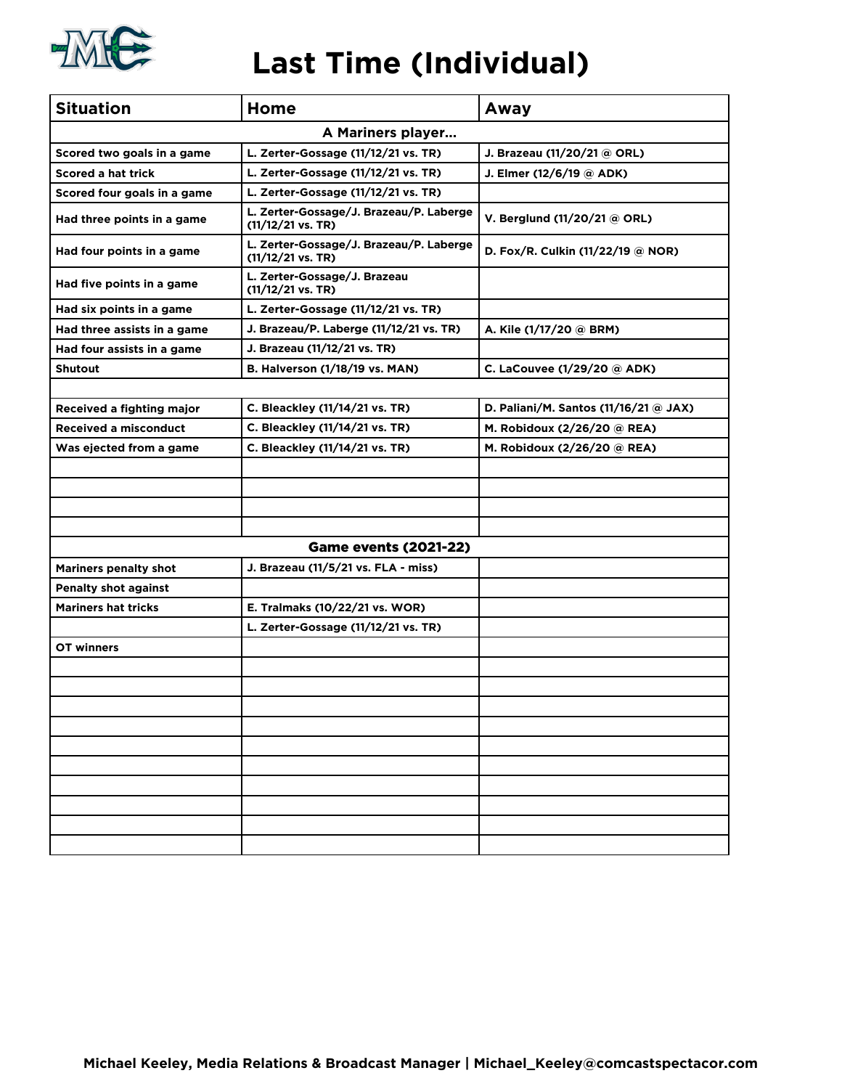

#### **Last Time (Individual)**

| <b>Situation</b>             | Home                                                                   | Away                                  |
|------------------------------|------------------------------------------------------------------------|---------------------------------------|
|                              | A Mariners player                                                      |                                       |
| Scored two goals in a game   | L. Zerter-Gossage (11/12/21 vs. TR)                                    | J. Brazeau (11/20/21 @ ORL)           |
| <b>Scored a hat trick</b>    | L. Zerter-Gossage (11/12/21 vs. TR)                                    | J. Elmer (12/6/19 @ ADK)              |
| Scored four goals in a game  | L. Zerter-Gossage (11/12/21 vs. TR)                                    |                                       |
| Had three points in a game   | L. Zerter-Gossage/J. Brazeau/P. Laberge<br>$(11/12/21 \text{ vs. TR})$ | V. Berglund (11/20/21 @ ORL)          |
| Had four points in a game    | L. Zerter-Gossage/J. Brazeau/P. Laberge<br>$(11/12/21 \text{ vs. TR})$ | D. Fox/R. Culkin (11/22/19 @ NOR)     |
| Had five points in a game    | L. Zerter-Gossage/J. Brazeau<br>$(11/12/21 \text{ vs. TR})$            |                                       |
| Had six points in a game     | L. Zerter-Gossage (11/12/21 vs. TR)                                    |                                       |
| Had three assists in a game  | J. Brazeau/P. Laberge (11/12/21 vs. TR)                                | A. Kile (1/17/20 @ BRM)               |
| Had four assists in a game   | J. Brazeau (11/12/21 vs. TR)                                           |                                       |
| <b>Shutout</b>               | B. Halverson (1/18/19 vs. MAN)                                         | C. LaCouvee (1/29/20 @ ADK)           |
|                              |                                                                        |                                       |
| Received a fighting major    | C. Bleackley (11/14/21 vs. TR)                                         | D. Paliani/M. Santos (11/16/21 @ JAX) |
| <b>Received a misconduct</b> | C. Bleackley (11/14/21 vs. TR)                                         | M. Robidoux (2/26/20 @ REA)           |
| Was ejected from a game      | C. Bleackley (11/14/21 vs. TR)                                         | M. Robidoux (2/26/20 @ REA)           |
|                              |                                                                        |                                       |
|                              |                                                                        |                                       |
|                              |                                                                        |                                       |
|                              |                                                                        |                                       |
|                              | <b>Game events (2021-22)</b>                                           |                                       |
| <b>Mariners penalty shot</b> | J. Brazeau (11/5/21 vs. FLA - miss)                                    |                                       |
| <b>Penalty shot against</b>  |                                                                        |                                       |
| <b>Mariners hat tricks</b>   | E. Tralmaks (10/22/21 vs. WOR)                                         |                                       |
|                              | L. Zerter-Gossage (11/12/21 vs. TR)                                    |                                       |
| OT winners                   |                                                                        |                                       |
|                              |                                                                        |                                       |
|                              |                                                                        |                                       |
|                              |                                                                        |                                       |
|                              |                                                                        |                                       |
|                              |                                                                        |                                       |
|                              |                                                                        |                                       |
|                              |                                                                        |                                       |
|                              |                                                                        |                                       |
|                              |                                                                        |                                       |
|                              |                                                                        |                                       |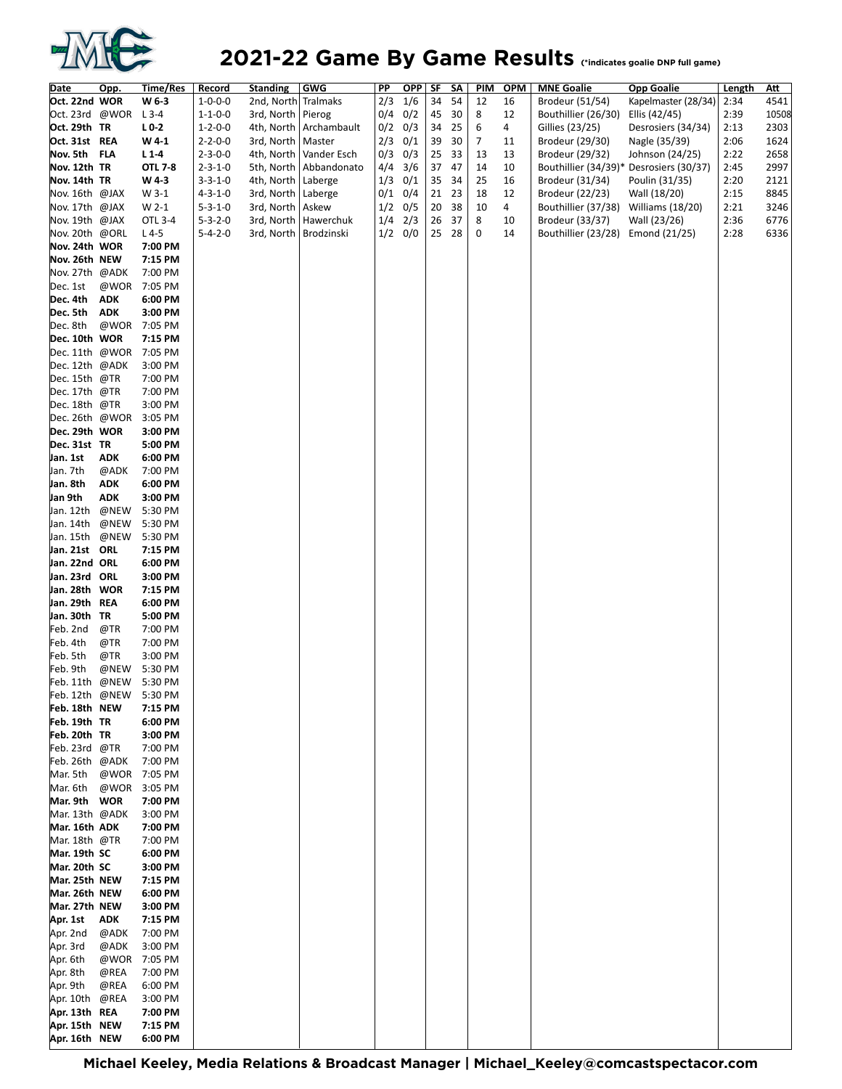

#### 2021-22 Game By Game Results *Cindicates goalie DNP full game*

| Date                           | Opp.               | Time/Res           | <b>Record</b>   | <b>Standing</b>      | <b>GWG</b>               | PP          | <u>OPP SF</u> |    | SΛ    | <u>PIM</u> | <b>OPM</b> | <b>MNE Goalie</b>                 | <b>Opp Goalie</b>                       | <u>Length</u> | <u>Att</u> |
|--------------------------------|--------------------|--------------------|-----------------|----------------------|--------------------------|-------------|---------------|----|-------|------------|------------|-----------------------------------|-----------------------------------------|---------------|------------|
| Oct. 22nd WOR                  |                    | W 6-3              | $1 - 0 - 0 - 0$ | 2nd, North Tralmaks  |                          | 2/3         | 1/6           | 34 | 54    | 12         | 16         | Brodeur (51/54)                   | Kapelmaster (28/34)                     | 2:34          | 4541       |
| Oct. 23rd @WOR L3-4            |                    |                    | $1 - 1 - 0 - 0$ | 3rd, North   Pierog  |                          |             | $0/4$ 0/2     | 45 | 30    | 8          | 12         | Bouthillier (26/30)               | Ellis (42/45)                           | 2:39          | 10508      |
| Oct. 29th TR                   |                    | $L0-2$             | $1 - 2 - 0 - 0$ |                      | 4th, North   Archambault | $0/2$ $0/3$ |               | 34 | 25    | 6          | 4          | Gillies (23/25)                   | Desrosiers (34/34)                      | 2:13          | 2303       |
| Oct. 31st REA                  |                    | W41                | $2 - 2 - 0 - 0$ | 3rd, North   Master  |                          | 2/3         | 0/1           | 39 | 30    | 7          | 11         | Brodeur (29/30)                   | Nagle (35/39)                           | 2:06          | 1624       |
| Nov. 5th FLA                   |                    | L1.4               | $2 - 3 - 0 - 0$ | 4th, North           | Vander Esch              |             | $0/3$ $0/3$   | 25 | 33    | 13         | 13         | Brodeur (29/32)                   | Johnson (24/25)                         | 2:22          | 2658       |
| Nov. 12th TR                   |                    | <b>OTL 7-8</b>     | $2 - 3 - 1 - 0$ |                      | 5th, North   Abbandonato | 4/4         | 3/6           | 37 | 47    | 14         | 10         |                                   | Bouthillier (34/39)* Desrosiers (30/37) | 2:45          | 2997       |
| Nov. 14th TR                   |                    | W43                | $3 - 3 - 1 - 0$ | 4th, North           | Laberge                  |             | $1/3$ 0/1     | 35 | 34    | 25         | 16         | Brodeur (31/34)                   | Poulin (31/35)                          | 2:20          | 2121       |
| Nov. 16th @JAX                 |                    | W 3-1              | $4 - 3 - 1 - 0$ | 3rd, North   Laberge |                          |             | $0/1$ 0/4     | 21 | 23    | 18         | 12         | Brodeur (22/23)                   | Wall (18/20)                            | 2:15          | 8845       |
| Nov. 17th @JAX                 |                    | W 2-1              | $5 - 3 - 1 - 0$ | 3rd, North   Askew   |                          |             | $1/2$ 0/5     | 20 | 38    | 10         | 4          | Bouthillier (37/38)               | Williams (18/20)                        | 2:21          | 3246       |
| Nov. 19th @JAX                 |                    | OTL 3-4            | $5 - 3 - 2 - 0$ | 3rd, North           | Hawerchuk                | $1/4$ $2/3$ |               | 26 | 37    | 8          | 10         | Brodeur (33/37)                   | Wall (23/26)                            | 2:36          | 6776       |
| Nov. 20th @ORL                 |                    | $L4-5$             | $5 - 4 - 2 - 0$ |                      | 3rd, North   Brodzinski  |             | $1/2$ 0/0     |    | 25 28 | 0          | 14         | Bouthillier (23/28) Emond (21/25) |                                         | 2:28          | 6336       |
| Nov. 24th WOR                  |                    | 7:00 PM            |                 |                      |                          |             |               |    |       |            |            |                                   |                                         |               |            |
| Nov. 26th NEW<br>Nov.27th @ADK |                    | 7:15 PM<br>7:00 PM |                 |                      |                          |             |               |    |       |            |            |                                   |                                         |               |            |
| Dec. 1st                       | @WOR               | 7:05 PM            |                 |                      |                          |             |               |    |       |            |            |                                   |                                         |               |            |
| Dec. 4th                       | <b>ADK</b>         | 6:00 PM            |                 |                      |                          |             |               |    |       |            |            |                                   |                                         |               |            |
| Dec. 5th                       | ADK                | 3:00 PM            |                 |                      |                          |             |               |    |       |            |            |                                   |                                         |               |            |
| Dec. 8th                       | @WOR               | 7:05 PM            |                 |                      |                          |             |               |    |       |            |            |                                   |                                         |               |            |
| Dec. 10th WOR                  |                    | 7:15 PM            |                 |                      |                          |             |               |    |       |            |            |                                   |                                         |               |            |
| Dec. 11th @WOR                 |                    | 7:05 PM            |                 |                      |                          |             |               |    |       |            |            |                                   |                                         |               |            |
| Dec. 12th @ADK                 |                    | 3:00 PM            |                 |                      |                          |             |               |    |       |            |            |                                   |                                         |               |            |
| Dec. 15th @TR                  |                    | 7:00 PM            |                 |                      |                          |             |               |    |       |            |            |                                   |                                         |               |            |
| Dec. 17th @TR                  |                    | 7:00 PM            |                 |                      |                          |             |               |    |       |            |            |                                   |                                         |               |            |
| Dec. 18th @TR                  |                    | 3:00 PM            |                 |                      |                          |             |               |    |       |            |            |                                   |                                         |               |            |
| Dec.26th @WOR                  |                    | 3:05 PM            |                 |                      |                          |             |               |    |       |            |            |                                   |                                         |               |            |
| Dec. 29th WOR                  |                    | 3:00 PM            |                 |                      |                          |             |               |    |       |            |            |                                   |                                         |               |            |
| Dec. 31st TR                   |                    | 5:00 PM            |                 |                      |                          |             |               |    |       |            |            |                                   |                                         |               |            |
| Jan. 1st                       | ADK                | 6:00 PM            |                 |                      |                          |             |               |    |       |            |            |                                   |                                         |               |            |
| Jan. 7th<br>Jan. 8th           | @ADK<br><b>ADK</b> | 7:00 PM<br>6:00 PM |                 |                      |                          |             |               |    |       |            |            |                                   |                                         |               |            |
| Jan 9th                        | <b>ADK</b>         | 3:00 PM            |                 |                      |                          |             |               |    |       |            |            |                                   |                                         |               |            |
| Jan. 12th                      | @NEW               | 5:30 PM            |                 |                      |                          |             |               |    |       |            |            |                                   |                                         |               |            |
| Jan. 14th                      | @NEW               | 5:30 PM            |                 |                      |                          |             |               |    |       |            |            |                                   |                                         |               |            |
| Jan. 15th @NEW                 |                    | 5:30 PM            |                 |                      |                          |             |               |    |       |            |            |                                   |                                         |               |            |
| Jan. 21st ORL                  |                    | 7:15 PM            |                 |                      |                          |             |               |    |       |            |            |                                   |                                         |               |            |
| Jan. 22nd ORL                  |                    | 6:00 PM            |                 |                      |                          |             |               |    |       |            |            |                                   |                                         |               |            |
| Jan. 23rd ORL                  |                    | 3:00 PM            |                 |                      |                          |             |               |    |       |            |            |                                   |                                         |               |            |
| Jan. 28th WOR                  |                    | 7:15 PM            |                 |                      |                          |             |               |    |       |            |            |                                   |                                         |               |            |
| Jan. 29th REA                  |                    | 6:00 PM            |                 |                      |                          |             |               |    |       |            |            |                                   |                                         |               |            |
| Jan. 30th TR                   |                    | 5:00 PM            |                 |                      |                          |             |               |    |       |            |            |                                   |                                         |               |            |
| Feb. 2nd                       | @TR                | 7:00 PM            |                 |                      |                          |             |               |    |       |            |            |                                   |                                         |               |            |
| Feb. 4th                       | @TR<br>@TR         | 7:00 PM            |                 |                      |                          |             |               |    |       |            |            |                                   |                                         |               |            |
| Feb. 5th<br>Feb. 9th           | @NEW               | 3:00 PM<br>5:30 PM |                 |                      |                          |             |               |    |       |            |            |                                   |                                         |               |            |
| Feb. 11th @NEW                 |                    | 5:30 PM            |                 |                      |                          |             |               |    |       |            |            |                                   |                                         |               |            |
| Feb. 12th @NEW                 |                    | 5:30 PM            |                 |                      |                          |             |               |    |       |            |            |                                   |                                         |               |            |
| Feb. 18th NEW                  |                    | 7:15 PM            |                 |                      |                          |             |               |    |       |            |            |                                   |                                         |               |            |
| Feb. 19th TR                   |                    | 6:00 PM            |                 |                      |                          |             |               |    |       |            |            |                                   |                                         |               |            |
| Feb. 20th TR                   |                    | 3:00 PM            |                 |                      |                          |             |               |    |       |            |            |                                   |                                         |               |            |
| Feb. 23rd @TR                  |                    | 7:00 PM            |                 |                      |                          |             |               |    |       |            |            |                                   |                                         |               |            |
| Feb.26th @ADK                  |                    | 7:00 PM            |                 |                      |                          |             |               |    |       |            |            |                                   |                                         |               |            |
| Mar. 5th                       |                    | @WOR 7:05 PM       |                 |                      |                          |             |               |    |       |            |            |                                   |                                         |               |            |
| Mar. 6th                       | @WOR               | 3:05 PM            |                 |                      |                          |             |               |    |       |            |            |                                   |                                         |               |            |
| Mar. 9th WOR                   |                    | 7:00 PM            |                 |                      |                          |             |               |    |       |            |            |                                   |                                         |               |            |
| Mar. 13th @ADK                 |                    | 3:00 PM            |                 |                      |                          |             |               |    |       |            |            |                                   |                                         |               |            |
| Mar. 16th ADK<br>Mar. 18th @TR |                    | 7:00 PM<br>7:00 PM |                 |                      |                          |             |               |    |       |            |            |                                   |                                         |               |            |
| Mar. 19th SC                   |                    | 6:00 PM            |                 |                      |                          |             |               |    |       |            |            |                                   |                                         |               |            |
| Mar. 20th SC                   |                    | 3:00 PM            |                 |                      |                          |             |               |    |       |            |            |                                   |                                         |               |            |
| Mar. 25th NEW                  |                    | 7:15 PM            |                 |                      |                          |             |               |    |       |            |            |                                   |                                         |               |            |
| Mar. 26th NEW                  |                    | 6:00 PM            |                 |                      |                          |             |               |    |       |            |            |                                   |                                         |               |            |
| Mar. 27th NEW                  |                    | 3:00 PM            |                 |                      |                          |             |               |    |       |            |            |                                   |                                         |               |            |
| Apr. 1st                       | ADK                | 7:15 PM            |                 |                      |                          |             |               |    |       |            |            |                                   |                                         |               |            |
| Apr. 2nd                       | @ADK               | 7:00 PM            |                 |                      |                          |             |               |    |       |            |            |                                   |                                         |               |            |
| Apr. 3rd                       | @ADK               | 3:00 PM            |                 |                      |                          |             |               |    |       |            |            |                                   |                                         |               |            |
| Apr. 6th                       | @WOR               | 7:05 PM            |                 |                      |                          |             |               |    |       |            |            |                                   |                                         |               |            |
| Apr. 8th                       | @REA               | 7:00 PM            |                 |                      |                          |             |               |    |       |            |            |                                   |                                         |               |            |
| Apr. 9th                       | @REA               | 6:00 PM            |                 |                      |                          |             |               |    |       |            |            |                                   |                                         |               |            |
| Apr. 10th                      | @REA               | 3:00 PM            |                 |                      |                          |             |               |    |       |            |            |                                   |                                         |               |            |
| Apr. 13th REA                  |                    | 7:00 PM            |                 |                      |                          |             |               |    |       |            |            |                                   |                                         |               |            |
| Apr. 15th NEW<br>Apr. 16th NEW |                    | 7:15 PM<br>6:00 PM |                 |                      |                          |             |               |    |       |            |            |                                   |                                         |               |            |
|                                |                    |                    |                 |                      |                          |             |               |    |       |            |            |                                   |                                         |               |            |

**Michael Keeley, Media Relations & Broadcast Manager | Michael\_Keeley@comcastspectacor.com**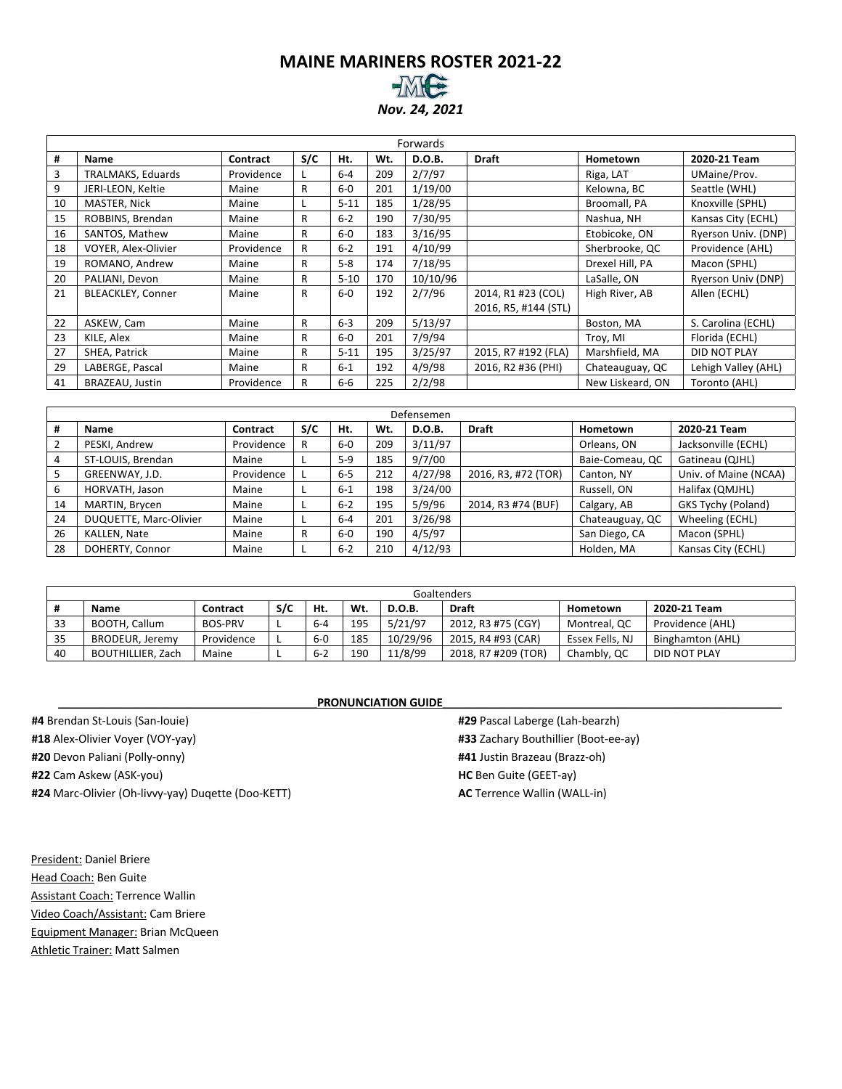#### **MAINE MARINERS ROSTER 2021-22** *Nov. 24, 2021*

|    |                            |            |     |          |     | Forwards |                      |                  |                     |
|----|----------------------------|------------|-----|----------|-----|----------|----------------------|------------------|---------------------|
| #  | Name                       | Contract   | S/C | Ht.      | Wt. | D.O.B.   | <b>Draft</b>         | Hometown         | 2020-21 Team        |
| 3  | TRALMAKS, Eduards          | Providence |     | $6 - 4$  | 209 | 2/7/97   |                      | Riga, LAT        | UMaine/Prov.        |
| 9  | JERI-LEON, Keltie          | Maine      | R   | $6-0$    | 201 | 1/19/00  |                      | Kelowna, BC      | Seattle (WHL)       |
| 10 | MASTER, Nick               | Maine      |     | $5 - 11$ | 185 | 1/28/95  |                      | Broomall, PA     | Knoxville (SPHL)    |
| 15 | ROBBINS, Brendan           | Maine      | R   | $6 - 2$  | 190 | 7/30/95  |                      | Nashua, NH       | Kansas City (ECHL)  |
| 16 | SANTOS, Mathew             | Maine      | R   | $6-0$    | 183 | 3/16/95  |                      | Etobicoke, ON    | Ryerson Univ. (DNP) |
| 18 | <b>VOYER, Alex-Olivier</b> | Providence | R   | $6 - 2$  | 191 | 4/10/99  |                      | Sherbrooke, QC   | Providence (AHL)    |
| 19 | ROMANO, Andrew             | Maine      | R   | $5 - 8$  | 174 | 7/18/95  |                      | Drexel Hill, PA  | Macon (SPHL)        |
| 20 | PALIANI, Devon             | Maine      | R   | $5 - 10$ | 170 | 10/10/96 |                      | LaSalle, ON      | Ryerson Univ (DNP)  |
| 21 | BLEACKLEY, Conner          | Maine      | R   | $6-0$    | 192 | 2/7/96   | 2014, R1 #23 (COL)   | High River, AB   | Allen (ECHL)        |
|    |                            |            |     |          |     |          | 2016, R5, #144 (STL) |                  |                     |
| 22 | ASKEW, Cam                 | Maine      | R   | $6 - 3$  | 209 | 5/13/97  |                      | Boston, MA       | S. Carolina (ECHL)  |
| 23 | KILE, Alex                 | Maine      | R   | $6-0$    | 201 | 7/9/94   |                      | Troy, MI         | Florida (ECHL)      |
| 27 | SHEA, Patrick              | Maine      | R   | $5 - 11$ | 195 | 3/25/97  | 2015, R7 #192 (FLA)  | Marshfield, MA   | DID NOT PLAY        |
| 29 | LABERGE, Pascal            | Maine      | R   | $6 - 1$  | 192 | 4/9/98   | 2016, R2 #36 (PHI)   | Chateauguay, QC  | Lehigh Valley (AHL) |
| 41 | BRAZEAU, Justin            | Providence | R   | 6-6      | 225 | 2/2/98   |                      | New Liskeard, ON | Toronto (AHL)       |

|    | Defensemen             |            |     |         |     |               |                     |                 |                       |  |  |  |  |  |  |
|----|------------------------|------------|-----|---------|-----|---------------|---------------------|-----------------|-----------------------|--|--|--|--|--|--|
| #  | <b>Name</b>            | Contract   | S/C | Ht.     | Wt. | <b>D.O.B.</b> | <b>Draft</b>        | Hometown        | 2020-21 Team          |  |  |  |  |  |  |
|    | PESKI, Andrew          | Providence | R   | $6-0$   | 209 | 3/11/97       |                     | Orleans, ON     | Jacksonville (ECHL)   |  |  |  |  |  |  |
| 4  | ST-LOUIS, Brendan      | Maine      |     | $5-9$   | 185 | 9/7/00        |                     | Baie-Comeau, QC | Gatineau (QJHL)       |  |  |  |  |  |  |
| 5  | GREENWAY, J.D.         | Providence |     | $6 - 5$ | 212 | 4/27/98       | 2016, R3, #72 (TOR) | Canton, NY      | Univ. of Maine (NCAA) |  |  |  |  |  |  |
| 6  | HORVATH, Jason         | Maine      |     | $6 - 1$ | 198 | 3/24/00       |                     | Russell, ON     | Halifax (QMJHL)       |  |  |  |  |  |  |
| 14 | MARTIN, Brycen         | Maine      |     | $6 - 2$ | 195 | 5/9/96        | 2014, R3 #74 (BUF)  | Calgary, AB     | GKS Tychy (Poland)    |  |  |  |  |  |  |
| 24 | DUQUETTE, Marc-Olivier | Maine      |     | $6 - 4$ | 201 | 3/26/98       |                     | Chateauguay, QC | Wheeling (ECHL)       |  |  |  |  |  |  |
| 26 | KALLEN, Nate           | Maine      | R   | $6-0$   | 190 | 4/5/97        |                     | San Diego, CA   | Macon (SPHL)          |  |  |  |  |  |  |
| 28 | DOHERTY, Connor        | Maine      |     | $6 - 2$ | 210 | 4/12/93       |                     | Holden, MA      | Kansas City (ECHL)    |  |  |  |  |  |  |

|    |                          |                |     |         |     |               | Goaltenders         |                 |                         |
|----|--------------------------|----------------|-----|---------|-----|---------------|---------------------|-----------------|-------------------------|
|    | <b>Name</b>              | Contract       | S/C | Ht.     | Wt. | <b>D.O.B.</b> | <b>Draft</b>        | Hometown        | 2020-21 Team            |
| 33 | BOOTH, Callum            | <b>BOS-PRV</b> |     | $6 - 4$ | 195 | 5/21/97       | 2012, R3 #75 (CGY)  | Montreal, QC    | Providence (AHL)        |
| 35 | BRODEUR, Jeremy          | Providence     |     | $6-0$   | 185 | 10/29/96      | 2015, R4 #93 (CAR)  | Essex Fells, NJ | <b>Binghamton (AHL)</b> |
| 40 | <b>BOUTHILLIER, Zach</b> | Maine          |     | $6 - 2$ | 190 | 11/8/99       | 2018, R7 #209 (TOR) | Chambly, QC     | DID NOT PLAY            |

|                                                    | PRONONCIATION QUIDE |
|----------------------------------------------------|---------------------|
| <b>#4</b> Brendan St-Louis (San-louie)             |                     |
| #18 Alex-Olivier Voyer (VOY-yay)                   |                     |
| #20 Devon Paliani (Polly-onny)                     |                     |
| <b>#22</b> Cam Askew (ASK-you)                     |                     |
| #24 Marc-Olivier (Oh-livvy-yay) Dugette (Doo-KETT) |                     |
|                                                    |                     |

#### **PRONUNCIATION GUIDE**

**#29** Pascal Laberge (Lah-bearzh) **#33** Zachary Bouthillier (Boot-ee-ay) **#41** Justin Brazeau (Brazz-oh) **HC** Ben Guite (GEET-ay) **AC** Terrence Wallin (WALL-in)

President: Daniel Briere Head Coach: Ben Guite Assistant Coach: Terrence Wallin Video Coach/Assistant: Cam Briere Equipment Manager: Brian McQueen Athletic Trainer: Matt Salmen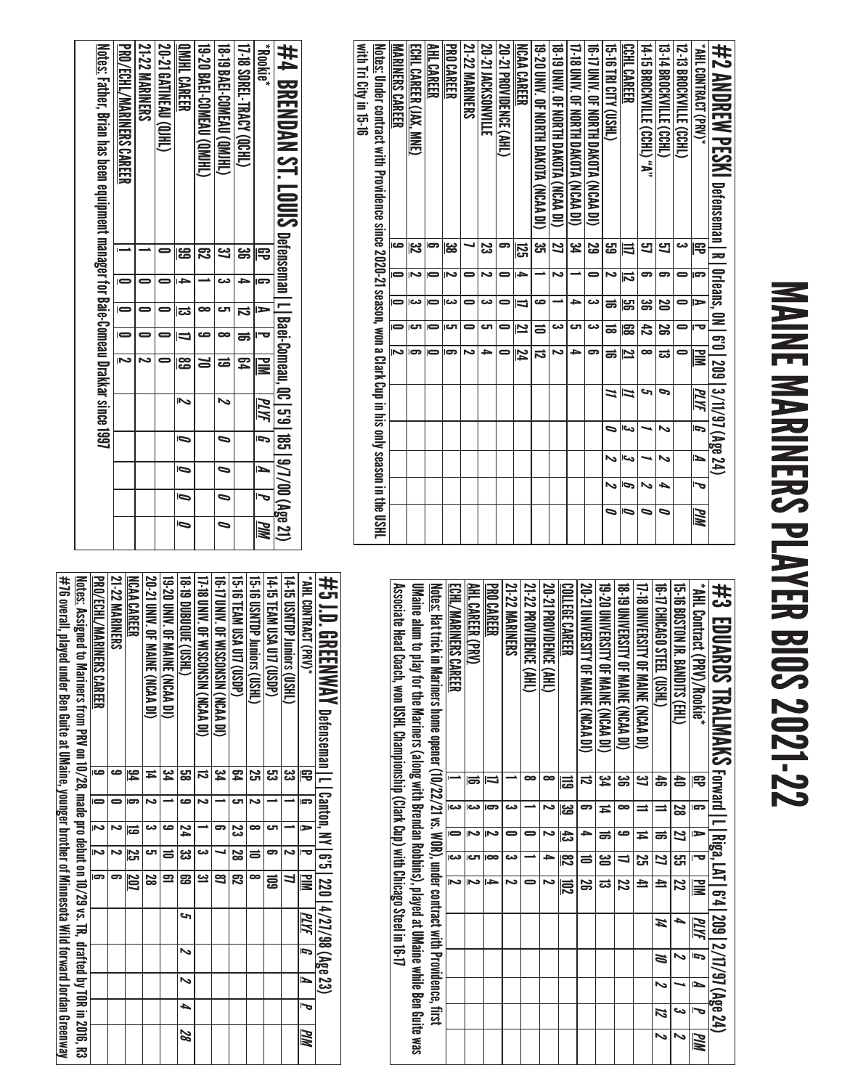# MAINE MARINERS PLAYER BIOS 2021-22 MAINE MARINERS PLAYER BIOS 2021-22

| with Ini City in 19-19 | <u>Notes:</u> Under contract with Providence since 2020-21 season, won a Clark Cup in his only season in the USHL | MARINERS CAREER<br>G | <b>ECHL CAREER (JAX, MNE)</b><br>32 | <b>AHL CAREER</b><br>5 | <b>PROCAREER</b><br>జ | <b>21-22 MARINERS</b> | 20-21 IACKSONVILLE<br>Z | <b>20-21 PROVIDENCE (AHL)</b><br>5 | <b>NCAA CAREER</b>      | 19-20 DNIY. OF NORTH DAKOTA (NCAA DI)<br>್ಲ್ರ | <b>19-19 DINA (NORTH DAXOLA (NORAN DI)</b><br>21 | 17-18 DNIV. OF NORTH DAKOTA (NCAA DI)<br>ید<br>4 | 16-17 UNIV. OF NORTH DAKOTA (NCAA DI)<br>5g | <b>15-18 CITY (USHL)</b><br>لئ<br>ڪ | <b>CCHL CAREER</b><br>≡ | 14-15 BROCKVILLE (CCHL) "A"<br>9 | 13-14 BROSKVILLE (CCHL)<br>9 | 12-13 BROCKVILLE (CCHL)<br>دە | "(VAH) T3ARTKON IHA"<br>雩 | #2 AMDREW PESM Defenseman I R I 0rleans, 0N I 6'0   209   3/11/97 (Age 24) |
|------------------------|-------------------------------------------------------------------------------------------------------------------|----------------------|-------------------------------------|------------------------|-----------------------|-----------------------|-------------------------|------------------------------------|-------------------------|-----------------------------------------------|--------------------------------------------------|--------------------------------------------------|---------------------------------------------|-------------------------------------|-------------------------|----------------------------------|------------------------------|-------------------------------|---------------------------|----------------------------------------------------------------------------|
|                        |                                                                                                                   |                      |                                     |                        |                       |                       |                         |                                    | ឆ្ល                     |                                               |                                                  |                                                  |                                             |                                     |                         |                                  |                              |                               |                           |                                                                            |
|                        |                                                                                                                   |                      | N                                   |                        | N                     | 0                     | N                       |                                    | 4                       |                                               | N                                                |                                                  |                                             | Z                                   | $\overline{\mathbf{z}}$ | 5                                | 5                            |                               | œ                         |                                                                            |
|                        |                                                                                                                   | $\blacksquare$       | دى                                  | $\blacksquare$         | دە                    | 0                     | دے                      | 0                                  | IJ                      | ص                                             |                                                  | ∍                                                | دە                                          | ಹ                                   | မြာ                     | ఴ                                | 29                           | 0                             | ь                         |                                                                            |
|                        |                                                                                                                   | $\blacksquare$       | دی                                  | $\blacksquare$         | ౮                     | 0                     | టా                      | 0                                  | $\overline{\mathbf{z}}$ | ᆯ                                             | دى                                               | లా                                               | دى                                          | ಹ                                   | ၼ                       | 성                                | S                            | 0                             | ᠊ᡆ                        |                                                                            |
|                        |                                                                                                                   | N                    |                                     |                        |                       | N                     | 5                       |                                    | 74                      | ನ                                             | N                                                | 5                                                | 6                                           | ಹ                                   | 2                       | $\infty$                         | ದ                            |                               | $\Xi$                     |                                                                            |
|                        |                                                                                                                   |                      |                                     |                        |                       |                       |                         |                                    |                         |                                               |                                                  |                                                  |                                             | =                                   | Z                       | حە                               | P                            |                               | PLYF                      |                                                                            |
|                        |                                                                                                                   |                      |                                     |                        |                       |                       |                         |                                    |                         |                                               |                                                  |                                                  |                                             | ∍                                   | حى                      |                                  | ぃ                            |                               | b                         |                                                                            |
|                        |                                                                                                                   |                      |                                     |                        |                       |                       |                         |                                    |                         |                                               |                                                  |                                                  |                                             | N                                   | اورع                    |                                  | N                            |                               | И                         |                                                                            |
|                        |                                                                                                                   |                      |                                     |                        |                       |                       |                         |                                    |                         |                                               |                                                  |                                                  |                                             | N                                   | P                       | N                                | ┶                            |                               | 宝                         |                                                                            |
|                        |                                                                                                                   |                      |                                     |                        |                       |                       |                         |                                    |                         |                                               |                                                  |                                                  |                                             | ธ                                   | Ō                       | ∍                                | ∍                            |                               | <b>PIM</b>                |                                                                            |

| <b>Rookie</b> *                  | 宅  | Þ  | $\overline{\mathbb{R}}$ | PLYF |                       | Ł                        | ত                   | PIM |
|----------------------------------|----|----|-------------------------|------|-----------------------|--------------------------|---------------------|-----|
| 17-18 SOREL-TRACY (QCHL)         | ఴ  |    | 54                      |      |                       |                          |                     |     |
| <b>18-19 BAEI-COMEAU (QMIHL)</b> |    | టా | డ                       | ゝ    | $\tilde{\phantom{0}}$ | $\overline{\phantom{0}}$ | 0                   |     |
| <b>19-20 BAEI-COMEAU (QMHL</b>   |    |    |                         |      |                       |                          |                     |     |
| OMJHL CAREER                     | සි | ದ  | န္ထြ                    | へ    | Ō                     | Ō                        | $\bar{\phantom{a}}$ | Ō   |
| 20-21 GATINEAU (QJHL)            |    |    |                         |      |                       |                          |                     |     |
| <b>21-22 MARINERS</b>            |    |    |                         |      |                       |                          |                     |     |
| <b>PRO/ECHL/MARINERS CAREER</b>  |    |    | Ñ                       |      |                       |                          |                     |     |

| Associate Head Coach, You Dark Clark Clark Clark Clark Clark Clark Clark Clare of the Streed Coach, T<br><u>Notes:</u> Hat trick in Mariners home opener (10/22/21 vs. WOR), under contract with Providence, first<br>UMaine alum to play for the Mariners (along with Brendan Robbins), played at UMaine while Ben Guite was | ECHL/MARINERS CAREER | AHL CAREER (PRV) | <b>PRO CAREER</b> | <b>21-22 MARINERS</b> | 21-22 PROVIDENCE (AHL) | 20-21 PROVIDENCE (AHL) | COLLEGE CAREER | 20-21 UNIVERSITY OF MAINE (NCAA DI) | 19-20 UNIVERSITY OF MAINE (NCAA DI) | <b>18-19 DINERSITY OF MAINE (SCAA DI)</b> | 17-18 DNVERSILY OF MAINE (NCAA DI) | 16-17 CHICAGO STEEL (USHL) | 15-16 BOSTON JK BAXDIIS(EHL) | * AHL Contract (PRV)/Rookie* | #3 LDUARDS TRALMAKS terral Luisia, Lx1 ls:41, 2001-2/17/37/474 |
|-------------------------------------------------------------------------------------------------------------------------------------------------------------------------------------------------------------------------------------------------------------------------------------------------------------------------------|----------------------|------------------|-------------------|-----------------------|------------------------|------------------------|----------------|-------------------------------------|-------------------------------------|-------------------------------------------|------------------------------------|----------------------------|------------------------------|------------------------------|----------------------------------------------------------------|
|                                                                                                                                                                                                                                                                                                                               |                      | ᇰ                |                   |                       | œ                      | ∞                      | 급              | ನ                                   | ید<br>4                             | ఴ                                         | یع                                 | å                          | 습                            | 吊                            |                                                                |
|                                                                                                                                                                                                                                                                                                                               | دت                   |                  |                   | دے                    |                        |                        | دے<br>ڪ        | 5                                   | Ħ                                   | ∞                                         | $\equiv$                           | $\equiv$                   | 28                           | G                            |                                                                |
|                                                                                                                                                                                                                                                                                                                               |                      |                  |                   |                       |                        |                        | ದೆ             |                                     | ಹ                                   | ص                                         | Ħ                                  | ಕ                          | 17                           | ь                            |                                                                |
|                                                                                                                                                                                                                                                                                                                               | دم                   | ای               | œ                 | دے                    |                        | ٠                      | 78             | ᇹ                                   | <u>జ</u>                            | ╛                                         | 52                                 | $\overline{z}$             | ري<br>ا                      | ≔                            |                                                                |
|                                                                                                                                                                                                                                                                                                                               |                      |                  |                   |                       |                        |                        | 102            | S                                   | ಹ                                   | 72                                        | $\overline{E}$                     | $\overline{=}$             | $\overline{5}$               | $\overline{\Xi}$             |                                                                |
|                                                                                                                                                                                                                                                                                                                               |                      |                  |                   |                       |                        |                        |                |                                     |                                     |                                           |                                    | И                          | ≏                            | MИ                           |                                                                |
|                                                                                                                                                                                                                                                                                                                               |                      |                  |                   |                       |                        |                        |                |                                     |                                     |                                           |                                    | N                          | ∾                            | ŋ                            |                                                                |
|                                                                                                                                                                                                                                                                                                                               |                      |                  |                   |                       |                        |                        |                |                                     |                                     |                                           |                                    | N                          |                              | ъ                            |                                                                |
|                                                                                                                                                                                                                                                                                                                               |                      |                  |                   |                       |                        |                        |                |                                     |                                     |                                           |                                    | И                          | در                           |                              |                                                                |
|                                                                                                                                                                                                                                                                                                                               |                      |                  |                   |                       |                        |                        |                |                                     |                                     |                                           |                                    |                            | ∾                            | PIM                          |                                                                |

| #76 overall, played under Ben Guite at UMaine, younger brother of Minnescota Wild forward Jordan Greenway | <u>Notes:</u> Assigned to Mariners from PRV on 10/28, made pro debut on 10/29 vs. TR, drafted by TOR in 2016, R3 | PRO/ECHL/MARINERS CAREER | <b>21-22 MARINERS</b> | <b>NCAA CAREER</b>                   | <b>20-21 DNIV. OF MAINE (NCAA DI)</b> | 19-20 DNIN: OF NHWE (NCAA DI) |           | 17-18 DNIV DE WISCONSCRY (NCAA DI) | 16-17 UNIV. 0F WISCONSIN (NCAA DI) | 19-16 LEAM DSA D117 (CSDP) | 15-16 USMTDP Juniors (USHL) | 14-15 TEAM USA U17 (USDP) | 14-15 USNIDP Juniors (USHL) | * AHL CONTRACT (PRV)*           | #5 JD .GREENWAV oetenseman I I [ canton, x Y   6'5   220   4/27/98 (48 c3) |
|-----------------------------------------------------------------------------------------------------------|------------------------------------------------------------------------------------------------------------------|--------------------------|-----------------------|--------------------------------------|---------------------------------------|-------------------------------|-----------|------------------------------------|------------------------------------|----------------------------|-----------------------------|---------------------------|-----------------------------|---------------------------------|----------------------------------------------------------------------------|
|                                                                                                           |                                                                                                                  | ص                        | مه                    | $\frac{1}{2}$                        | ≖                                     | 34                            | జ         | ವ                                  | 34                                 | 54                         | <u>يہ</u>                   | జ                         | دے<br>دے                    | 雩                               |                                                                            |
|                                                                                                           |                                                                                                                  |                          |                       |                                      |                                       |                               | صه        |                                    |                                    | cл                         |                             |                           |                             | G                               |                                                                            |
|                                                                                                           |                                                                                                                  | $\overline{\mathbf{z}}$  |                       | ē                                    |                                       | ص                             | 24        |                                    | 5                                  | 33<br>S                    | ∞                           | cл                        |                             | ►                               |                                                                            |
|                                                                                                           |                                                                                                                  | $\overline{5}$           |                       | $\overline{\overline{\overline{c}}}$ | టా                                    | $\equiv$                      | ದ<br>ದ    | دە                                 |                                    | $\overline{\mathbf{28}}$   | $\equiv$                    | 5                         | N                           | ᠊                               |                                                                            |
|                                                                                                           |                                                                                                                  | $\overline{5}$           |                       | $\overline{\phantom{0}}$             | 82                                    | $\overline{\mathbf{z}}$       | డె        | <u>يە</u>                          | 3                                  | ౙె                         | œ                           | ਛ                         |                             | <b>NIN</b>                      |                                                                            |
|                                                                                                           |                                                                                                                  |                          |                       |                                      |                                       |                               | S         |                                    |                                    |                            |                             |                           |                             | $\overline{g}$   $\overline{M}$ |                                                                            |
|                                                                                                           |                                                                                                                  |                          |                       |                                      |                                       |                               | Z         |                                    |                                    |                            |                             |                           |                             |                                 |                                                                            |
|                                                                                                           |                                                                                                                  |                          |                       |                                      |                                       |                               | $\bar{z}$ |                                    |                                    |                            |                             |                           |                             | $\overline{I}$                  |                                                                            |
|                                                                                                           |                                                                                                                  |                          |                       |                                      |                                       |                               | 4         |                                    |                                    |                            |                             |                           |                             | $\overline{\phantom{a}}$        |                                                                            |
|                                                                                                           |                                                                                                                  |                          |                       |                                      |                                       |                               | 82        |                                    |                                    |                            |                             |                           |                             | WM                              |                                                                            |

 $\Box$ 

المتماز كالمساح والمسارات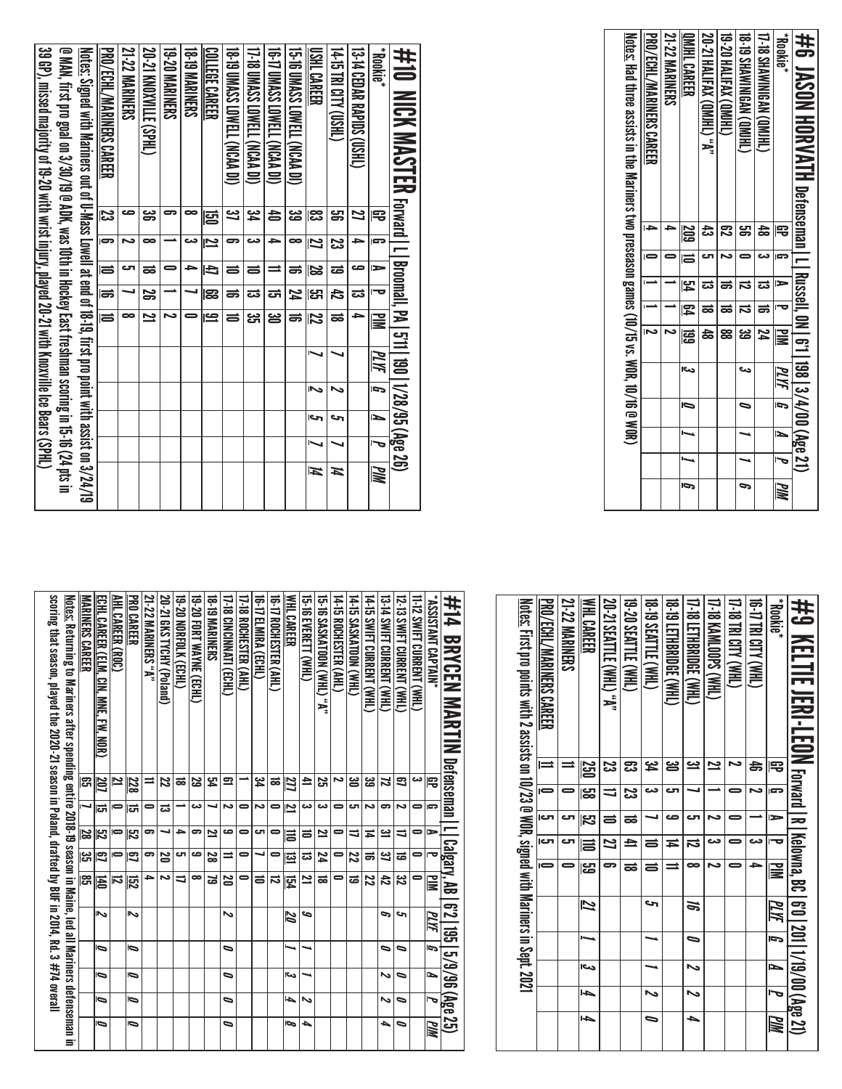| <u>Notes:</u> Had three assists in the Mariners two preseason games (10/15 vs. WOR, 10/16 @ WOR) | PRO/ECHL/MARINERS CAREER | <b>21-22 MARINERS</b> | <b>OMIHL CAREER</b> | <b>20-21 HALIFAX (QMJHL) "A"</b> | 19-20 HALIFAX (QMJHL) | <b>18-19 SHAWNINGAN (QMIHL)</b> | 17-18 SHAWINIGAN (QMIHL | <b>Rookie</b> * | #6 JASON HORVATH petenseman   L_Nussel  0N_61  198  3/4/00 (Age 21) |
|--------------------------------------------------------------------------------------------------|--------------------------|-----------------------|---------------------|----------------------------------|-----------------------|---------------------------------|-------------------------|-----------------|---------------------------------------------------------------------|
|                                                                                                  | <b>ID</b>                | ∸                     | 209                 | ಹಿ                               | ౘ                     | ൠ                               | $\frac{4}{5}$           | 宅               |                                                                     |
|                                                                                                  |                          |                       | Izi                 | టా                               | N                     |                                 | دے                      | lsp             |                                                                     |
|                                                                                                  |                          |                       | 54                  | ದ                                |                       | ವ                               | ದ                       | $\Rightarrow$   |                                                                     |
|                                                                                                  |                          |                       | 図                   | ಹ                                | ಹ                     | ವ                               | ಹ                       | i ta            |                                                                     |
|                                                                                                  | N                        | N                     | 冨                   | 눎                                | 88                    | یئ                              | 74                      | 旨               |                                                                     |
|                                                                                                  |                          |                       | احى                 |                                  |                       | دى                              |                         | PLYF            |                                                                     |
|                                                                                                  |                          |                       | b                   |                                  |                       | 0                               |                         | ā,              |                                                                     |
|                                                                                                  |                          |                       |                     |                                  |                       |                                 |                         | ►               |                                                                     |
|                                                                                                  |                          |                       |                     |                                  |                       |                                 |                         | J               |                                                                     |
|                                                                                                  |                          |                       | Ō                   |                                  |                       | P                               |                         | МM              |                                                                     |

| 39 GP), missed majority of 19-20 with wrist injury, played 20-21 with Knoxville Lee Bears (SPHL) | @ MAN, 1121 th 10 gold on 3/30/06 @ RDK , was dittl in Hockey East risshman scrimg in 15-16 (27 pt 2 inst 115 in 15-16 (27 pt 2 instruct on 2011) | <u>Notes:</u> Signed with Mariners out of U-Mass Lowell at end of 18-19, first pro point with assist on 3/24/19 | PRO/ECHL/MARINERS CAREER | <b>21-22 MARINERS</b> | <b>20-21 KNOXVILE (SPHL)</b> | <b>19-20 NARNNERS</b> | <b>18-T9 MARINERS</b> | COLLEGE CAREER | <b>18-19 DND SSAMELL (NCAA DI)</b> | U-1 B DEASS LOWELL (NCAP DI) | <b>16-17 DNASS LOWELL VCASH</b> | 15-16 UMASS LOWELL (NCAA DI) | <b>USHL CAREER</b> | <b>THIS DILLA (THIS)</b> | <b>CHRICOR BAPIDS (USHL)</b> | *aixlook*      | ##0 MCK MASTER corrall_18011728/95 (Age 26) |
|--------------------------------------------------------------------------------------------------|---------------------------------------------------------------------------------------------------------------------------------------------------|-----------------------------------------------------------------------------------------------------------------|--------------------------|-----------------------|------------------------------|-----------------------|-----------------------|----------------|------------------------------------|------------------------------|---------------------------------|------------------------------|--------------------|--------------------------|------------------------------|----------------|---------------------------------------------|
|                                                                                                  |                                                                                                                                                   |                                                                                                                 | ಜ                        | ص                     | ఴ                            |                       |                       | ළු             | <u>ین</u>                          | یک                           | 4                               | జ                            | ಜ                  | <u>ម</u> ្លា             | Z                            | 宅              |                                             |
|                                                                                                  |                                                                                                                                                   |                                                                                                                 | $\overline{5}$           | N                     | $\bullet$                    |                       | دے                    | $\mathbf{z}$   | 5                                  | دت                           | ÷                               | $\infty$                     | Z                  | ಜ                        |                              | l cra          |                                             |
|                                                                                                  |                                                                                                                                                   |                                                                                                                 | $\equiv$                 | ای                    | ಹ                            |                       | →                     | Đ              | 5                                  | $\equiv$                     |                                 | ಹ                            | 28                 | ಹ                        | صه                           | $\blacksquare$ |                                             |
|                                                                                                  |                                                                                                                                                   |                                                                                                                 | $\overline{5}$           |                       | S                            |                       |                       | 133            | ಹ                                  | ಪ                            | ದ                               | 74                           | لى<br>أ            | 42                       | ದ                            |                |                                             |
|                                                                                                  |                                                                                                                                                   |                                                                                                                 | $\overline{a}$           | œ                     | $\overline{\mathbf{z}}$      | Z                     | =                     | $\mathbf{S}$   | ತ                                  | یب<br>آگ                     | ఆ                               |                              | 72                 | ಹ                        | ÷                            | NI d           |                                             |
|                                                                                                  |                                                                                                                                                   |                                                                                                                 |                          |                       |                              |                       |                       |                |                                    |                              |                                 |                              |                    |                          |                              | <u>МИ</u>      |                                             |
|                                                                                                  |                                                                                                                                                   |                                                                                                                 |                          |                       |                              |                       |                       |                |                                    |                              |                                 |                              | ↖                  |                          |                              | ŋ              |                                             |
|                                                                                                  |                                                                                                                                                   |                                                                                                                 |                          |                       |                              |                       |                       |                |                                    |                              |                                 |                              | حا                 | حه                       |                              | Þ              |                                             |
|                                                                                                  |                                                                                                                                                   |                                                                                                                 |                          |                       |                              |                       |                       |                |                                    |                              |                                 |                              | ↖                  |                          |                              |                |                                             |
|                                                                                                  |                                                                                                                                                   |                                                                                                                 |                          |                       |                              |                       |                       |                |                                    |                              |                                 |                              | И                  | И                        |                              | MM             |                                             |

| \$P\$20 NELTIL JENI-LEON Forward I R I Kelowna, BC   6'0   201   1/19/00 (Age 21) | <b>Rookie</b> *         | THAN ALICI BLATER | 17-18 TRI CITY (WHL)<br>د | (THM) Sdoot WHI)         | 17-18 LETHBRIDGE (WHL) | <b>URNO TELHBRIDGE (WHL)</b> | <b>18-19 SEATTLE (WHL)</b> | 19-20 SEATTLE (WHL) | <b>20-21 SEATTLE (WHL) "A"</b> | <b>WHL CAREER</b> | 21-22 MARINERS | PRO/ECHL/MARINERS CAREER | <u>Notes:</u> First pro points with 2 assists on 10/23 @ WOR, signed with Mariners in Sept. 2021 |
|-----------------------------------------------------------------------------------|-------------------------|-------------------|---------------------------|--------------------------|------------------------|------------------------------|----------------------------|---------------------|--------------------------------|-------------------|----------------|--------------------------|--------------------------------------------------------------------------------------------------|
|                                                                                   | 宅                       | æ                 |                           | 2                        | یے                     | ൠ                            | î۴                         | ఔ                   | 33                             | 250               | =              | $\equiv$                 |                                                                                                  |
|                                                                                   | G                       | N                 |                           |                          |                        | cл                           | دے                         | జ                   | ╛                              | မွာ               |                |                          |                                                                                                  |
|                                                                                   | $\Rightarrow$           |                   |                           | N                        | ى                      | صه                           |                            | ಹ                   | $\equiv$                       | ಗಿದೆ<br>ನ         | ص              | יכ                       |                                                                                                  |
|                                                                                   | $\overline{\mathbf{v}}$ | دے                | 0                         | دت                       | ನ                      | ≖                            | $\equiv$                   | ≞                   | $\overline{\mathbf{z}}$        | $\equiv$          | ى              | rت                       |                                                                                                  |
|                                                                                   | N                       |                   | 0                         | $\overline{\phantom{0}}$ | $\bullet$              |                              | 5                          | ಹ                   | 5                              | <u>မှာ</u>        |                | $\overline{\phantom{0}}$ |                                                                                                  |
|                                                                                   | PLYF                    |                   |                           |                          | æ                      |                              | حہ                         |                     |                                | 12                |                |                          |                                                                                                  |
|                                                                                   | lā                      |                   |                           |                          | 0                      |                              |                            |                     |                                |                   |                |                          |                                                                                                  |
|                                                                                   | Þ                       |                   |                           |                          | ∾                      |                              |                            |                     |                                | دے                |                |                          |                                                                                                  |
|                                                                                   | J                       |                   |                           |                          |                        |                              | ゝ                          |                     |                                | ۱÷۱               |                |                          |                                                                                                  |
|                                                                                   | MМ                      |                   |                           |                          | ٠                      |                              | 0                          |                     |                                | 4                 |                |                          |                                                                                                  |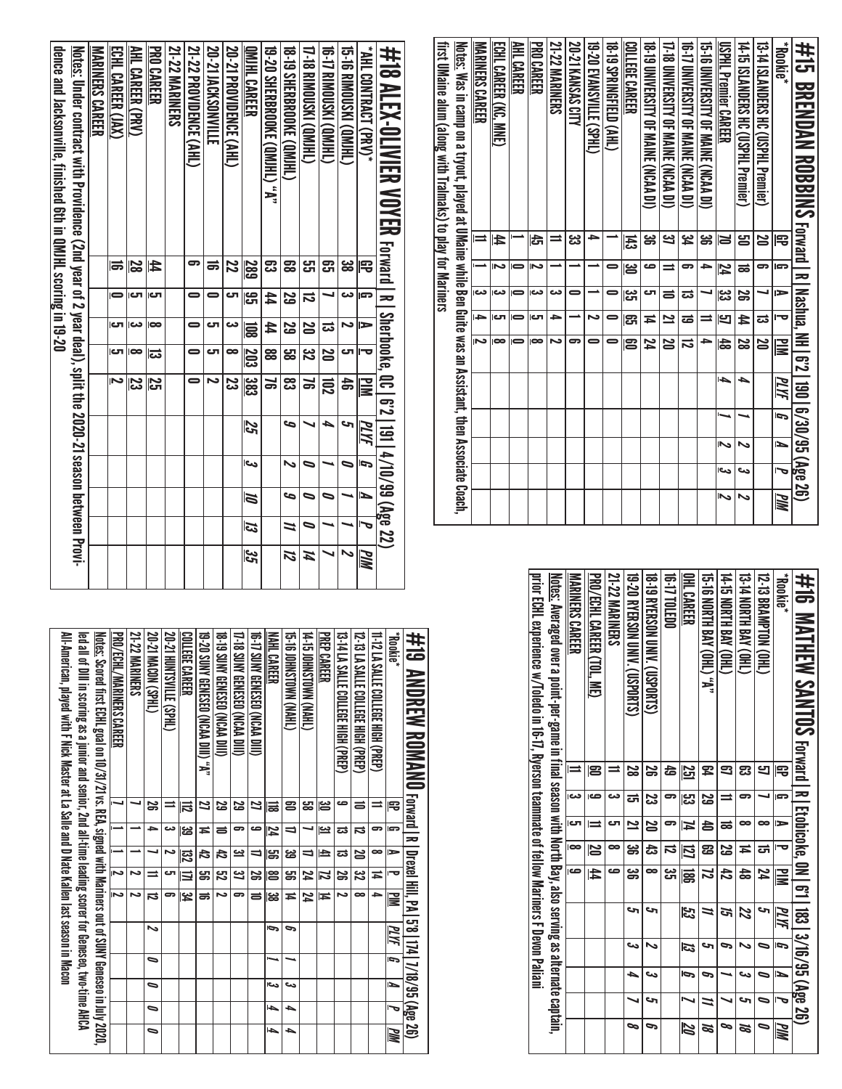| first UMaine alum (along with TraImaks) to play for Mariners | <u>Notes:</u> Was in camp on a tryout, played at UMaine while Ben Guite was an Assistant, then Associate Coach, | <b>MARINERS CAREER</b>  | <b>EGHL CARER (KC. MKE)</b> | AHL CAREER     | <b>PRO CAREER</b> | <b>21-22 MARINERS</b> | 20-21 KANSAS CITY | <b>19-20 EVANSVALLE (SPHL)</b> | <b>18-19 SPRINGFIELD (AHL)</b> | COLLEGE CAREER | <b>18-19 DNIVERSILY OF MAINE (NCAA DI)</b> | 17-18 DNIVERSITY OF MAINE (NCAA DI) | 10-17 DATAERSITY OF MAINE (SCAP DI) | <b>10 PYSSILY OF MAINE (NCAN DI)</b> | <b>USPHL Premier CAREER</b> | 14-15 ISLANDERS HC (USPHL Premier) | 13-14 ISLMDDES HC (USPHL Premier) | <b>Rookie*</b>           | #15 BRENDAN ROBBINS Forward I RI Nashua, NH 1621 1901 6/30/95 (Age 26) |
|--------------------------------------------------------------|-----------------------------------------------------------------------------------------------------------------|-------------------------|-----------------------------|----------------|-------------------|-----------------------|-------------------|--------------------------------|--------------------------------|----------------|--------------------------------------------|-------------------------------------|-------------------------------------|--------------------------------------|-----------------------------|------------------------------------|-----------------------------------|--------------------------|------------------------------------------------------------------------|
|                                                              |                                                                                                                 | $\equiv$                | 4                           |                | đ                 | ⋍                     | دە<br>دى          |                                |                                | 푾              | ఴ                                          | <u>ین</u>                           | بر<br>4                             | ఴ                                    | N                           | ഋ                                  | 20                                | ₽                        |                                                                        |
|                                                              |                                                                                                                 |                         |                             | $\equiv$       | N                 |                       |                   |                                |                                | అ              | صه                                         | $\equiv$                            | 5                                   | ٩                                    | 74                          | ಹ                                  | 5                                 | G                        |                                                                        |
|                                                              |                                                                                                                 | دە                      | دده                         |                | دے                | دے                    | 0                 |                                |                                | یں<br>ات       | لت                                         | $\equiv$                            | ದ                                   |                                      | ಜ                           | S                                  |                                   | ⋗                        |                                                                        |
|                                                              |                                                                                                                 | →                       | ای                          | $\blacksquare$ | టా                | ٩                     |                   | N                              | 0                              | ဌာ             | Ħ                                          | $\overline{\mathbf{z}}$             | ಹ                                   | =                                    | Ľ                           | $\sharp$                           | ಪ                                 | $\overline{\phantom{a}}$ |                                                                        |
|                                                              |                                                                                                                 | $\overline{\mathbf{v}}$ | $\infty$                    |                | $\infty$          | N                     | 5                 |                                |                                | ຌ              | 74                                         | 0Z I                                | ವ                                   |                                      | $\frac{4}{5}$               | 8<br>8                             | 20                                | ≧                        |                                                                        |
|                                                              |                                                                                                                 |                         |                             |                |                   |                       |                   |                                |                                |                |                                            |                                     |                                     |                                      | ۱÷۵                         | ▲                                  |                                   | PLYF                     |                                                                        |
|                                                              |                                                                                                                 |                         |                             |                |                   |                       |                   |                                |                                |                |                                            |                                     |                                     |                                      |                             |                                    |                                   | ŋ                        |                                                                        |
|                                                              |                                                                                                                 |                         |                             |                |                   |                       |                   |                                |                                |                |                                            |                                     |                                     |                                      | N,                          | N                                  |                                   | ►                        |                                                                        |
|                                                              |                                                                                                                 |                         |                             |                |                   |                       |                   |                                |                                |                |                                            |                                     |                                     |                                      | احد                         | ىئ                                 |                                   |                          |                                                                        |
|                                                              |                                                                                                                 |                         |                             |                |                   |                       |                   |                                |                                |                |                                            |                                     |                                     |                                      | Z                           | ~                                  |                                   | <b>MIN</b>               |                                                                        |

| #16 MATHEW SAMTOS Forward I R I Ecorione, 0M I 61   183   3/16/95 (Age 26)                                      |        |      |              |    |               |    |    |    |                     |            |
|-----------------------------------------------------------------------------------------------------------------|--------|------|--------------|----|---------------|----|----|----|---------------------|------------|
| <b>Rookie</b>                                                                                                   | 雩      | G    | E            | ᇰ  | ≧             | MЫ | Ī, | L  | $\bar{\phantom{a}}$ | <b>MIN</b> |
| 12-13 BRAMPTON (OHL)                                                                                            |        |      |              | ದ  | 74            | حہ |    | 0  | 0                   | ∍          |
| <b>THO) AVBILH BON 41-51</b>                                                                                    | ఔ      | 5    | ∞            | ≖  | 48            | 22 |    | دے | c                   | 8Å         |
| <b>T4-15 NORTH BAY (OHL)</b>                                                                                    |        | ⋍    | ಹ            | ಜ  | 42            | ল  |    |    |                     | p          |
| 15-16 NORTH BAY (OHL) "A"                                                                                       | 54     | 5g   | 40           | සි | Z             | ⋍  | S  | P  | 11                  | Ø          |
| <b>OHL CAREER</b>                                                                                               | 55     | ပ္ပာ | 4            | IJ | 冨             | 33 | IJ | Ģ  |                     | <b>ZQ</b>  |
| 16-17 TO LEDO                                                                                                   | 49     | 5    |              | ನ  | دے<br>ا       |    |    |    |                     |            |
| <b>18-19 BYERSON UNIV. (USD RTS)</b>                                                                            | S      | ಜ    | N            | ಕ  | $\infty$      | S  | ∾  | دى | c                   | P          |
| <b>19-20 BYERSON UNIV. (USPORTS)</b>                                                                            | 8<br>8 | ದ    | $\mathbf{z}$ | ఴ  | ఴ             | حہ | دے | ٠  |                     | ∞          |
| <b>21-22 MARINERS</b>                                                                                           |        | دے   | cл           | ∞  | ص             |    |    |    |                     |            |
| PRO/ECHL CAREER (TOL, ME)                                                                                       | 12     | صە   |              | N  | $\frac{4}{4}$ |    |    |    |                     |            |
| <b>MARINERS CAREER</b>                                                                                          |        | دم   | ات           | œ  | c             |    |    |    |                     |            |
| <u>Notes:</u> Averaged over a point-per-game in final season with North Bay, also serving as alternate captain, |        |      |              |    |               |    |    |    |                     |            |
| prior ECHL experience w/Toledo in 16, 17, Ryerson transmate of tellow Mariners Toeson Paliani                   |        |      |              |    |               |    |    |    |                     |            |
|                                                                                                                 |        |      |              |    |               |    |    |    |                     |            |

| dence and Jacksonville, finished 6th in QMIHL scoring in 19-20 | Notes: Under contract with Providence (2nd year of 2 year deal), split the 2020-21 season between Provi- | <b>MARINERS CAREF</b> | ECHL CAREER (JAX) | <b>AHL CAREER (PRV)</b> | <b>PRO CAREER</b> | 21-22 MARINERS | 21-22 PROVIDENCE (AHL) | <b>20-21 INCKSNONVILLE</b> | <b>20-21 PROVIDENCE (AHL)</b> | <b>OMIHL CAREER</b>     | 19-20 SHERBROOKE (QMHL) ;**; | <b>18. SHERBARDAN E CONFLIT</b> | 17-18 BIMONSCONER        | <b>(THINDISKI CONTEN)</b> | 15-16 RIMOUSKI (QMJHL)   | <b>*AHL CONTRACT (PRV)*</b> | ##18 NLER/OLIVIER YOVER assuration of the state is a list of the NDYER YOVER 22. |
|----------------------------------------------------------------|----------------------------------------------------------------------------------------------------------|-----------------------|-------------------|-------------------------|-------------------|----------------|------------------------|----------------------------|-------------------------------|-------------------------|------------------------------|---------------------------------|--------------------------|---------------------------|--------------------------|-----------------------------|----------------------------------------------------------------------------------|
|                                                                |                                                                                                          |                       | 15                | 2g                      | 44                |                | 5                      | ಹ                          | Z                             | 289                     | ఔ                            | g                               | لى<br>س                  | <u>යු</u>                 | دە<br>60                 | 号                           |                                                                                  |
|                                                                |                                                                                                          |                       |                   | లా                      | లా                |                |                        |                            | ĒЛ                            | ္ဟ                      | 44                           | SS                              | ನ                        |                           | دے                       | c.                          |                                                                                  |
|                                                                |                                                                                                          |                       |                   | دے                      | œ                 |                |                        | ص                          | دے                            | $\overline{\Xi}$        | 44                           | <u>یع</u>                       | N                        | ದ                         |                          | ⋗                           |                                                                                  |
|                                                                |                                                                                                          |                       | Iсл               | $\bullet$               | ದ                 |                | 0                      | టా                         | œ                             | $\overline{\Xi}$        | 88                           | ය<br>ස                          | یب<br>N                  | N                         | లా                       |                             |                                                                                  |
|                                                                |                                                                                                          |                       |                   | 33                      | ζ2                |                |                        | N                          | <u>یع</u>                     | $\overline{383}$        | ă                            | జి                              | ¥                        | ឨ                         | å                        | $\mathbf{u}$                |                                                                                  |
|                                                                |                                                                                                          |                       |                   |                         |                   |                |                        |                            |                               |                         |                              | c                               |                          | ٠                         | u                        |                             |                                                                                  |
|                                                                |                                                                                                          |                       |                   |                         |                   |                |                        |                            |                               | 52                      |                              |                                 |                          |                           |                          | MЫ                          |                                                                                  |
|                                                                |                                                                                                          |                       |                   |                         |                   |                |                        |                            |                               | اور                     |                              | N                               | 0                        |                           | 0                        | ſ,                          |                                                                                  |
|                                                                |                                                                                                          |                       |                   |                         |                   |                |                        |                            |                               | $\overline{\mathbf{a}}$ |                              |                                 | $\overline{\phantom{0}}$ | 5                         |                          | Ł                           |                                                                                  |
|                                                                |                                                                                                          |                       |                   |                         |                   |                |                        |                            |                               | <b>ES</b>               |                              | Z                               | 0                        |                           |                          |                             |                                                                                  |
|                                                                |                                                                                                          |                       |                   |                         |                   |                |                        |                            |                               | $\frac{3}{2}$           |                              | 72                              | И                        |                           | $\overline{\phantom{0}}$ | PIN                         |                                                                                  |

| All-American, played with F Nick Master at La Salle and D Nate Kallen last season in Macon<br>led all of Dilli in scoring ass a intigrated for for the sequite addition of the sequence of the sequence of the AHCA | <u>Notes:</u> Scored first ECHL goal on 10/31/21 vs. REA, signed with Mariners out of SUNY Geneseo in July 2020,<br><b>PRO/LCHL/MARINERS CAREF</b> | 21-22 MARINERS | 20-21 MACDN (SPHL) | 20-21 HONTSVILLE (SPHL) | COLLEGE CAREER | 19-Y", "A" DILISED (NCAA DIII) "A" | 18 PHIS SINA GENESED (NCAA DIII) | 17-18 SUNY GENESED (NCAA DILI) | 16-17 SUNY GENESEO (NCAA DIIU) | NAHL CAREER | G-51 SHARA NAO ISANG SI SE | 14:51 DENSIQNA (NEW) | <b>PREP CAREER</b> | 13-14 LA SALLE COLLEGE HIGH ( )PREA | 12 :3 LA SALIF COLLEGE HER (PREP) | 11-12 LA SALLE COLLEGE HIGH (PREP) | *Rookie* | #19 ANDREW ROMANO Forward I RI Drexel Hill, PA   5'8  174  1/18/95 (Age 26) |
|---------------------------------------------------------------------------------------------------------------------------------------------------------------------------------------------------------------------|----------------------------------------------------------------------------------------------------------------------------------------------------|----------------|--------------------|-------------------------|----------------|------------------------------------|----------------------------------|--------------------------------|--------------------------------|-------------|----------------------------|----------------------|--------------------|-------------------------------------|-----------------------------------|------------------------------------|----------|-----------------------------------------------------------------------------|
|                                                                                                                                                                                                                     |                                                                                                                                                    |                | డ                  |                         |                | 2                                  | ಜ                                | 52                             | 2                              | 믋           | ප                          | జా                   | ൠ                  | صه                                  | ᆯ                                 | ≕                                  | 宅        |                                                                             |
|                                                                                                                                                                                                                     |                                                                                                                                                    |                | ∍                  | دے                      | ಜ              | Ħ                                  | ᇹ                                | 5                              | ص                              | 74          | ╛                          |                      | یے                 | ವ                                   | ವ                                 | 5                                  | P        |                                                                             |
|                                                                                                                                                                                                                     |                                                                                                                                                    |                |                    | N                       | <u>ន្</u> ជ    | 42                                 | ਨਿ                               | یئ                             | ⇒                              | ട്ട         | జ                          | ⇒                    | 크                  | ವ                                   | 25                                | $\bullet$                          | Þ        |                                                                             |
|                                                                                                                                                                                                                     | N                                                                                                                                                  | N              | ∸                  | ال                      | ≡              | පු<br>ප                            | ಔ                                | یے                             | S                              | ൠ           | ఞ                          | 24                   | Z                  | S                                   | జ                                 | Ħ                                  | ᅮ        |                                                                             |
|                                                                                                                                                                                                                     | Z                                                                                                                                                  | د٦             | ದ                  |                         | یج             | ಹ                                  | د٦                               | 5                              | ᇹ                              | జ           | Ħ                          | 24                   | Ħ                  | د٦                                  | ∞                                 | ٠                                  | ШM       |                                                                             |
|                                                                                                                                                                                                                     |                                                                                                                                                    |                | ∾                  |                         |                |                                    |                                  |                                |                                | G           | 9                          |                      |                    |                                     |                                   |                                    | PLYF     |                                                                             |
|                                                                                                                                                                                                                     |                                                                                                                                                    |                | ∍                  |                         |                |                                    |                                  |                                |                                |             |                            |                      |                    |                                     |                                   |                                    | Ĩ,       |                                                                             |
|                                                                                                                                                                                                                     |                                                                                                                                                    |                | ∍                  |                         |                |                                    |                                  |                                |                                | احت         | دے                         |                      |                    |                                     |                                   |                                    | ⊾        |                                                                             |
|                                                                                                                                                                                                                     |                                                                                                                                                    |                | ∍                  |                         |                |                                    |                                  |                                |                                | ⊌           | ┶                          |                      |                    |                                     |                                   |                                    |          |                                                                             |
|                                                                                                                                                                                                                     |                                                                                                                                                    |                | ∍                  |                         |                |                                    |                                  |                                |                                | حەا         | ┶                          |                      |                    |                                     |                                   |                                    | MМ       |                                                                             |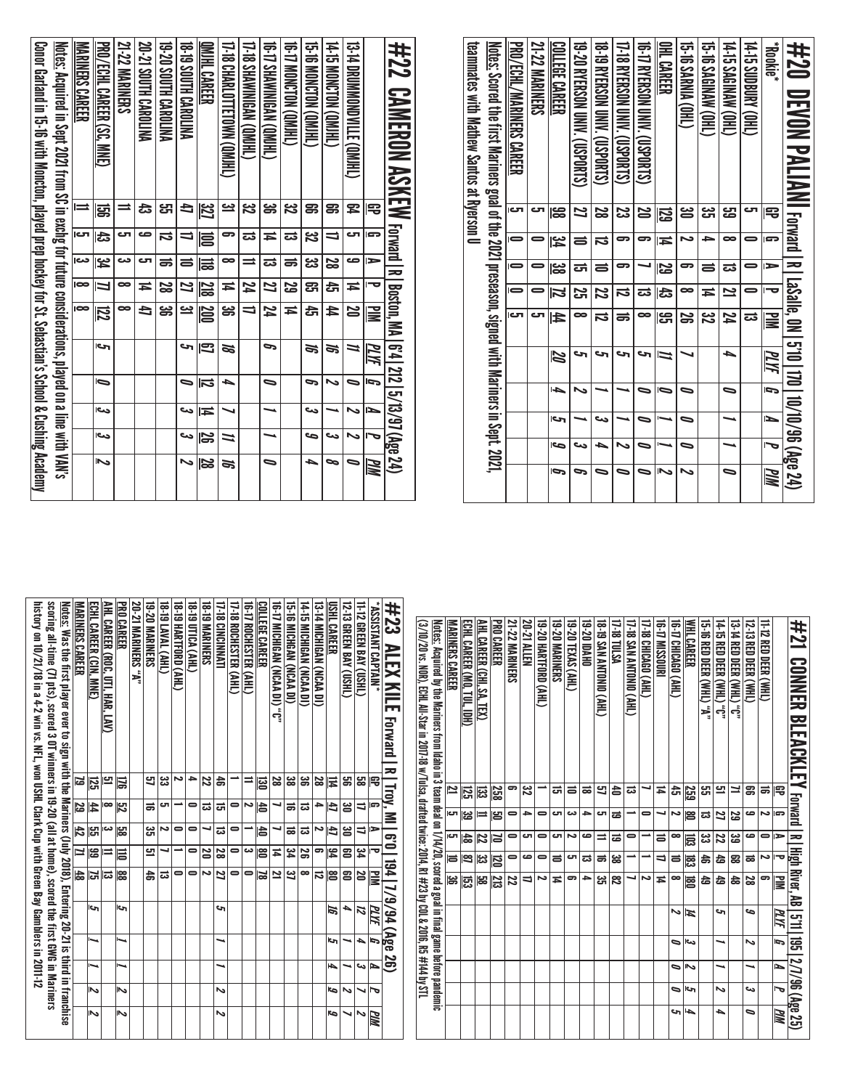| teamnates with Mathew Santos at Ryerson D<br><u>Notes:</u> Scored the first Mariners goal of the 2021 preseason, signed with Mariners in Sept. 2021, | PRO/ECHL/MARINERS CAREER | 21-22 MARINERS | <b>COLLEGE CAREER</b> | 19-20 RYERSON UNIV. (USPORTS) | 18-19 RYERSON UNIV. (COSPORTS) | 17-18 RHERSOM DINN. (1020BH) | 16-17 RYERSON UNIV. (USPORTS) | OHL CAREER          | <b>15-16 SARMA (OHL)</b> | <b>GHT.19 XRINAW (OHL)</b> | 14-15 SAGINAW (OHL) | 14-15 SIDBORK (DHL | <b>Rookie*</b> | #20 DLVDN PALIANI rorantl x lassie, ox 12.0110/10/10/10/10/48 (42.9%) |
|------------------------------------------------------------------------------------------------------------------------------------------------------|--------------------------|----------------|-----------------------|-------------------------------|--------------------------------|------------------------------|-------------------------------|---------------------|--------------------------|----------------------------|---------------------|--------------------|----------------|-----------------------------------------------------------------------|
|                                                                                                                                                      | iсл                      | చా             | ) မွှ                 | $\overline{\mathbf{z}}$       | 2g                             | జ                            | 25                            | 52                  | ൠ                        | یب<br>ان                   | مبر<br>ڪ            |                    | ₩              |                                                                       |
|                                                                                                                                                      | 0                        |                | 34                    | $\equiv$                      | $\vec{v}$                      | 5                            | 5                             | Ħ                   | N                        | ÷                          | ∞                   |                    | G.             |                                                                       |
|                                                                                                                                                      | $\blacksquare$           |                | జ                     | ದ                             | $\equiv$                       | 5                            |                               | 52                  | 5                        | $\equiv$                   | ದ                   |                    | ►              |                                                                       |
|                                                                                                                                                      | $\blacksquare$           |                | Z                     | <u>ភ</u>                      | Z                              | ನ                            | ದ                             | ದೆ                  | œ                        | ħ                          | 2                   |                    | ᅮ              |                                                                       |
|                                                                                                                                                      | Ю                        | ى              | 44                    | $\bullet$                     | $\overline{\mathbf{u}}$        | ಹ                            | ∞                             | ၛၟ                  | S                        | ಜ                          | 74                  | ದ                  | NI A           |                                                                       |
|                                                                                                                                                      |                          |                | N                     | ы                             | حه                             | حه                           | ы                             | $\vec{\phantom{a}}$ |                          |                            | ┶                   |                    | MИ             |                                                                       |
|                                                                                                                                                      |                          |                | حەا                   |                               |                                |                              |                               | 6                   |                          |                            | 宝                   |                    | $\overline{5}$ |                                                                       |
|                                                                                                                                                      |                          |                | ات                    |                               | ده                             |                              |                               |                     | 0                        |                            |                     |                    | P              |                                                                       |
|                                                                                                                                                      |                          |                | <b>S</b>              | دره                           | 4                              |                              | 5                             |                     | 0                        |                            |                     |                    | Į              |                                                                       |
|                                                                                                                                                      |                          |                | Ģ                     |                               |                                |                              |                               | [∕                  |                          |                            | 0                   |                    | MМ             |                                                                       |

| #22 CAMEROM ASKEW Farat Internation Fame Park of ASKEW Farat International SKEW CAMEROM                     |          |          |         |          |           |    |    |    |    |                          |
|-------------------------------------------------------------------------------------------------------------|----------|----------|---------|----------|-----------|----|----|----|----|--------------------------|
|                                                                                                             | 宅        | <b>G</b> | ►       | ᅮ        | ≧         | ЫМ | þ  | ►  | Į  | WM                       |
| 13-14 DROMMONDVILLE (QM)HL)                                                                                 | 54       | ى        | صه      | Ħ        | 22        | 1  | 0  | ↖  | ↖  |                          |
| LHIMO) NOLONOM SI-71                                                                                        | ఞ        |          | 2g      | đ        | 44        | S. | ∾  |    | دے | ᆓ                        |
| 15.EWONCLON (GMHL)                                                                                          | ఞ        | ین<br>ا  | دى<br>ئ | සූ       | đ         | ಕ  | P  | دە | حت | ┶                        |
| CHIND) NONCION (OMIHL)                                                                                      | ین<br>ا  | ಪ        | ಹ       | <u>ន</u> | Ħ         |    |    |    |    |                          |
| <b>GRIMMANINERS (ON HE)</b>                                                                                 | ౢ        | Ħ        | ದ       | 2        | 74        | c  | 0  |    |    | 0                        |
| [7-18 SHAWNNIGAN (QM)HL)                                                                                    | ین<br>ا  | ಪ        | ═       | 74       | ⊒         |    |    |    |    |                          |
| I7-18 CHARLOTTETOWN (OMJHL)                                                                                 | یے       | 5        | ∞       | Ħ        | ఴ         | N  | ▵  |    | ⋍  | S,                       |
| QMJHL CAREER                                                                                                | 32       | ē        | 믋       | 218      | 200       | Ξ  | lನ | ≖  | ß  | <u>ន</u>                 |
| <b>18. IS SOLH CAROLINA</b>                                                                                 | Đ        |          | ᇹ       | 2        | <u>يە</u> | S  | ∍  | دے | دے | $\overline{\phantom{a}}$ |
| <b>PAILBARG HING 02-58</b>                                                                                  | لى<br>س  | ದ        | ಹ       | 2g       | ఴ         |    |    |    |    |                          |
| 20-21 SOUTH CAROLINA                                                                                        | ಕಿ       | صه       | ى       | Ħ        | đ         |    |    |    |    |                          |
| 21-22 MARINERS                                                                                              | =        | ى        | دے      | ∞        | ∞         |    |    |    |    |                          |
| PRO/ECHL CAREER (SC, MNE)                                                                                   | ශූ       | ದೆ       | یم<br>4 | Ц        | 尼         | حا | Ī  | دے | دے | Z                        |
| MARINERS CAREER                                                                                             | $\equiv$ | rت       | دم      | lœ       | lœ        |    |    |    |    |                          |
| <u>Notes:</u> Acquired in Sept 2021 from SC in exchg for future considerations, played on a line with VAN's |          |          |         |          |           |    |    |    |    |                          |
| Concretation is 1:5-11:01 in 1:5-11:01 in 19:00 and the process of the School S. Costally Advanced S        |          |          |         |          |           |    |    |    |    |                          |
|                                                                                                             |          |          |         |          |           |    |    |    |    |                          |

|            |          |                              |     |         |            |                                     |   |            | ЖW              |
|------------|----------|------------------------------|-----|---------|------------|-------------------------------------|---|------------|-----------------|
| 宅          | G        | ∍                            |     |         |            | ſ,                                  | ъ | 宝          |                 |
| ಹ          | ىم       | 0                            | دہ  | 9       |            |                                     |   |            |                 |
| ສ          | ڡ        | ڡ                            | ಹ   | జ       | مه         | Z                                   |   | دے         |                 |
| ⊣          | ន        | జ                            | ౙ   | ds<br>S |            |                                     |   |            |                 |
| 므          | 2        | 22                           | 숩   | 숩       | c          |                                     |   | ىم         |                 |
| ឌ          | ದ        | پي                           | お   | 숩       |            |                                     |   |            |                 |
| <u>259</u> | န္တ      | ౹౾                           | జె్ | 扈       | 14         | ارى                                 | ふ | ات         |                 |
| ਨੰ         | N        | ∞                            | ᇹ   | ∞       | ゝ          | 0                                   | ∍ | ∍          |                 |
| Ħ          |          | ᇹ                            | ⇉   | Ħ       |            |                                     |   |            |                 |
|            | 0        |                              |     | دہ      |            |                                     |   |            |                 |
| ದ          |          | =                            |     |         |            |                                     |   |            |                 |
| 숨          | ಹ        | ಹ                            | జ   | జ       |            |                                     |   |            |                 |
| ප          | ات       | ⋍                            | ಹ   | జ       |            |                                     |   |            |                 |
| ಹ          | ٠        | ڡ                            | ದ   | →       |            |                                     |   |            |                 |
| ᇹ          | دے       | د٦                           | ى   | 9       |            |                                     |   |            |                 |
| ದ          | ى        | cл                           | ᇹ   | Ħ       |            |                                     |   |            |                 |
|            | 0        | 0                            | 0   | د       |            |                                     |   |            |                 |
| జ          | ⇒        | ى                            | مه  | ⇉       |            |                                     |   |            |                 |
| 9          | 0        |                              | 0   | и       |            |                                     |   |            |                 |
| 258        | 呂        | 13                           | 扈   | 23      |            |                                     |   |            |                 |
| ಔ          | ⋍        | 72                           | ಜ   | မ္ထ     |            |                                     |   |            |                 |
| 얺          | یں<br>صا | 齿                            | 18  | 뎘       |            |                                     |   |            |                 |
| 2          | cл       | cл                           | ᇹ   | ఴ       |            |                                     |   |            |                 |
|            |          | 井21 CONNER BLEACENTEY rerear | 굴   | ≔       | <b>WIN</b> | <b>High River, AB</b><br>PLYF<br>Щg |   | <u>ទ្ធ</u> | 2/7/96 (Age 25) |

| scoring Thitme (7) ptk), scored 1997 and 1997 (all at 19-60 (all at 19-60 (all at 19-60 (all at 19-60 and 19-7<br>history on 10/21/18 in a 4-2 win vs. NFL, won USHL Clark Cup with Green Bay Gamblers in 2011-12<br><u>Notes:</u> Was the first player ever to sign with the Mariners (July 2018), Entering 20-21 is third in franchise | <b>MARINERS CAREER</b> | ECHL CAREER (CIN, MNE) | AHL CAREER (ROC. UTL HAK, LAN) | <b>PRO CAREER</b> | "A" SAJMARINERS "A" | 19-20 MARINERS | 18-19 LAVAL (AHL) | 18.19 HARTFORD (AHL) | 18 ID NOA (AHL) | <b>18-19 MARINERS</b> | <b>17-18 CINCINNATI</b> | <b>T-18 ROCHESTER (AHL)</b> | (THE STERIES (AHL) | COLLEGE CAREER | <b>10 MADINICHICAN (NCAA DI)</b> C | 15-16 MICHGAN (NCAA DI) | 14-15 MICHIGNA (NCAA DI) | 13-14 MICHIGAN (NCAA DI) | USHL CAREER | I2-13 GREEN BAY (USHL) | 11-12 GREEN BAY (USHL) | "ASSISTANT CAPTAIN" | #23<br><b>ALEX KILE Forward R   Troy, MI</b> |
|------------------------------------------------------------------------------------------------------------------------------------------------------------------------------------------------------------------------------------------------------------------------------------------------------------------------------------------|------------------------|------------------------|--------------------------------|-------------------|---------------------|----------------|-------------------|----------------------|-----------------|-----------------------|-------------------------|-----------------------------|--------------------|----------------|------------------------------------|-------------------------|--------------------------|--------------------------|-------------|------------------------|------------------------|---------------------|----------------------------------------------|
|                                                                                                                                                                                                                                                                                                                                          | ಡ                      | 덚                      | 9                              | ᇢ                 |                     | 9              | یئ                | N                    | ≏               | 22                    | 놂                       |                             |                    | ᇙ              | 28                                 | జ                       | ఴ                        | 28                       | 云           | ട്ട                    | జ                      | 5                   |                                              |
|                                                                                                                                                                                                                                                                                                                                          | 29                     | £                      | ∞                              | 閃                 |                     | ಹ              | ى                 |                      | 0               | ದ                     | ದ                       | 0                           | N                  | 含              |                                    | ಹ                       | ದ                        | ≏                        | E           | ఆ                      | ⇉                      | ິ                   |                                              |
|                                                                                                                                                                                                                                                                                                                                          | 42                     | ဌာ                     | دے                             | မ္ထ               |                     | یئ             | N                 | 0                    | 0               |                       | ದ                       |                             |                    | 16             |                                    | ಹ                       | ಪ                        | دہ                       | Ë           | ఴ                      | ⇉                      | ⋗                   | $\overline{\mathbf{e}}$                      |
|                                                                                                                                                                                                                                                                                                                                          | ⊒                      | ឌ                      |                                | Ħ                 |                     | 9              |                   |                      | $\blacksquare$  | 20                    | ಜ                       | 0                           | دە                 | ၔ              | Ħ                                  | بع                      | æ                        | 9                        | 34          | පු                     | بع                     | ᅮ                   |                                              |
|                                                                                                                                                                                                                                                                                                                                          | 48                     | ы                      | ದ                              | 188               |                     | 4              | ದ                 | 0                    | 0               | N                     | 2                       | 0                           | 0                  | ವ              | 2                                  | یئ                      | $\bullet$                | ವ                        | 曾           | ຌ                      | 20                     | 긓                   | 194   7/9/94 (Age 26)                        |
|                                                                                                                                                                                                                                                                                                                                          |                        | التا                   |                                | حە                |                     |                |                   |                      |                 |                       | ى                       |                             |                    |                |                                    |                         |                          |                          | 15          | ь                      | 12                     | PLYF                |                                              |
|                                                                                                                                                                                                                                                                                                                                          |                        |                        |                                |                   |                     |                |                   |                      |                 |                       |                         |                             |                    |                |                                    |                         |                          |                          | ات          |                        | ▵                      | G                   |                                              |
|                                                                                                                                                                                                                                                                                                                                          |                        |                        |                                | 宝                 |                     |                |                   |                      |                 |                       |                         |                             |                    |                |                                    |                         |                          |                          | l-b         |                        | دے                     | d                   |                                              |
|                                                                                                                                                                                                                                                                                                                                          |                        | Z                      |                                | 2                 |                     |                |                   |                      |                 |                       | ゝ                       |                             |                    |                |                                    |                         |                          |                          | S           | N                      |                        | 宝                   |                                              |
|                                                                                                                                                                                                                                                                                                                                          |                        | る                      |                                | ₹                 |                     |                |                   |                      |                 |                       | ゝ                       |                             |                    |                |                                    |                         |                          |                          | G           |                        | Z                      | MМ                  |                                              |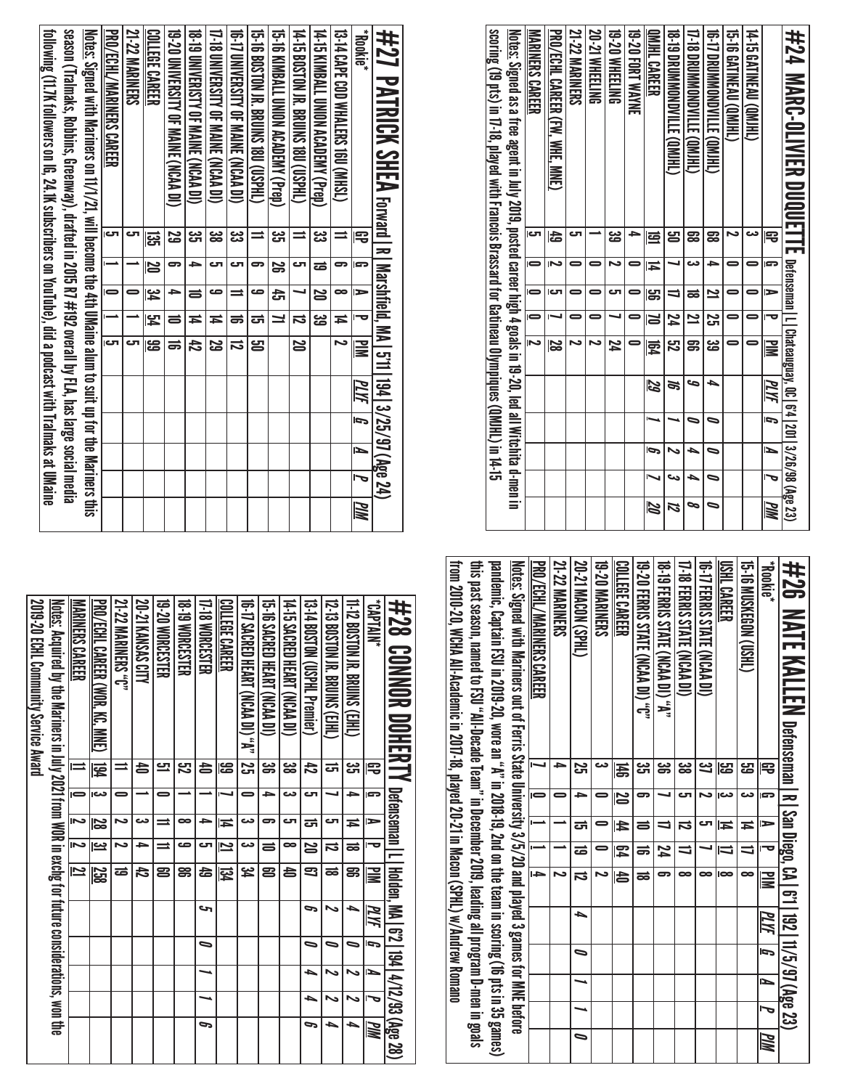| scoring (13 pts) in 17.18, played with Trancois Brassard for Gatineau Olympiques (QMUHL) in 14-15<br><u>Notes;</u> Signed as a free agent in July 2009, posted career high 4 goals in 19-20, led all Witchita d-men in | <b>MARINERS CAREER</b>  | PRO/ECHL CAREER (FW, WHE, MNE) | 21-22 MARINERS | <b>20-21 WHEELING</b> | 19-20 WHEELING | 19-20 FORT WAYNE | <b>DNAHL CARER</b> | <b>US - 19 DROMAND NILLE (OM)HLI</b> | THE DRIMMOND VILLE (QM)HL) | <b>UNDANG MANGKON TILE GRIPPIE</b> | <b>19.16 CALNEAU (UMIHL)</b> | 14-15 GATINEAU (QMJHL) |                                     | #24 MARG-0LIVIER DUQUETTE letaranana l_l charanana l_l charge (age 23) |
|------------------------------------------------------------------------------------------------------------------------------------------------------------------------------------------------------------------------|-------------------------|--------------------------------|----------------|-----------------------|----------------|------------------|--------------------|--------------------------------------|----------------------------|------------------------------------|------------------------------|------------------------|-------------------------------------|------------------------------------------------------------------------|
|                                                                                                                                                                                                                        | ات                      | 숩                              | ى              |                       | ین<br>ڪ        |                  | 弖                  | ឌ                                    | 59                         | ౙె                                 | N                            | دى                     | 雩                                   |                                                                        |
|                                                                                                                                                                                                                        |                         |                                |                |                       | N              |                  | Ħ                  |                                      | دے                         | ٠                                  |                              |                        | ls.                                 |                                                                        |
|                                                                                                                                                                                                                        |                         | תם                             |                |                       | cл             |                  | မ္မာ               | $\equiv$                             | ಹ                          | 2                                  |                              |                        | E                                   |                                                                        |
|                                                                                                                                                                                                                        | $\bar{=}$               |                                |                | 5                     |                | $\equiv$         | ð                  | $\overline{\mathbf{z}}$              | $\overline{\mathbf{z}}$    | S                                  |                              |                        |                                     |                                                                        |
|                                                                                                                                                                                                                        | $\overline{\mathbf{v}}$ | 28                             | N              | N                     | 74             |                  | 霓                  | ភូ                                   | ទូ                         | یج<br>ڪ                            |                              | 0                      | $\overline{\mathbf{s}}$             |                                                                        |
|                                                                                                                                                                                                                        |                         |                                |                |                       |                |                  | 59                 | S,                                   | S                          | ┶                                  |                              |                        | PLYF                                |                                                                        |
|                                                                                                                                                                                                                        |                         |                                |                |                       |                |                  |                    |                                      |                            | 0                                  |                              |                        | $\overline{5}$                      |                                                                        |
|                                                                                                                                                                                                                        |                         |                                |                |                       |                |                  | Ģ                  |                                      | ٠                          | 0                                  |                              |                        | N                                   |                                                                        |
|                                                                                                                                                                                                                        |                         |                                |                |                       |                |                  |                    | دى                                   | ٠                          | ∍                                  |                              |                        | $\overline{\overline{\phantom{a}}}$ |                                                                        |
|                                                                                                                                                                                                                        |                         |                                |                |                       |                |                  | 20                 | Z                                    | ⊵                          |                                    |                              |                        | MM                                  |                                                                        |

| from 2010-20, WCHA All-Academic in 2017-18, played 20-21 in Macon (SPHL) w/Andrew Romano | this past sesson, named to CSO, "All-Decade Decamber 2019, isading all program D-311; program D-men in goals | pames), Samus (16 pts in 35 games), The semi-inscent in 2nd on the team in 2018-19, 2nd on the team in solver in 35 games) | <u>Notes:</u> Signed with Mariners out of Ferris State University 3/5/20 and played 3 games for MNE before | <b>PRO/ECHL/MARINERS CAREER</b> | <b>21-22 MARINERS</b> | <b>20-21 MACDN (SPHL)</b> | <b>19-20 MARINERS</b> | COLLEGE CAREER | 19-20 FERRIS STATE (NCAA DI) "C" | <b>19-19 FERNIS SINIE (NCAA DI) "A"</b> | <b>17-18 FERRIS STATE (NCAA DI)</b> | <b>10-17 LERRIS STATE (NCAA DI)</b> | <b>USHL CAREER</b> | <b>CHSON CONSERVERIES</b> | <b>Rookie</b> *          | <b>#26 NATE KALLEN</b> perenan   R.   631   192   11/5/97 (Age 23) |
|------------------------------------------------------------------------------------------|--------------------------------------------------------------------------------------------------------------|----------------------------------------------------------------------------------------------------------------------------|------------------------------------------------------------------------------------------------------------|---------------------------------|-----------------------|---------------------------|-----------------------|----------------|----------------------------------|-----------------------------------------|-------------------------------------|-------------------------------------|--------------------|---------------------------|--------------------------|--------------------------------------------------------------------|
|                                                                                          |                                                                                                              |                                                                                                                            |                                                                                                            |                                 | ∍                     | Σ,                        |                       | 呙              | دے<br>ات                         | ౻                                       | జ                                   | <u>ین</u>                           | <u>یع</u>          | <mark>ය</mark>            | 雩                        |                                                                    |
|                                                                                          |                                                                                                              |                                                                                                                            |                                                                                                            |                                 |                       | ᆋ                         |                       | N              | ິ                                |                                         | cл                                  | N                                   | دے                 | دى                        | s                        |                                                                    |
|                                                                                          |                                                                                                              |                                                                                                                            |                                                                                                            |                                 |                       | ಪ                         |                       | $\frac{4}{1}$  |                                  |                                         | ದ                                   | cл                                  | $\overline{4}$     | $\overline{4}$            | ∍                        |                                                                    |
|                                                                                          |                                                                                                              |                                                                                                                            |                                                                                                            | $\overline{\phantom{0}}$        |                       | ಹ                         | =                     | 54             | ಹ                                | 74                                      | ╛                                   |                                     | $\equiv$           | ∃                         | $\overline{\phantom{0}}$ |                                                                    |
|                                                                                          |                                                                                                              |                                                                                                                            |                                                                                                            | ᆍ                               |                       | $\overline{5}$            | N                     | 齿              | ಹ                                | 5                                       | ∞                                   | ∞                                   | lœ                 | $\overline{\phantom{a}}$  | $\overline{\mathbb{R}}$  |                                                                    |
|                                                                                          |                                                                                                              |                                                                                                                            |                                                                                                            |                                 |                       | ┶                         |                       |                |                                  |                                         |                                     |                                     |                    |                           | PLYF                     |                                                                    |
|                                                                                          |                                                                                                              |                                                                                                                            |                                                                                                            |                                 |                       | $\bullet$                 |                       |                |                                  |                                         |                                     |                                     |                    |                           | $\overline{5}$           |                                                                    |
|                                                                                          |                                                                                                              |                                                                                                                            |                                                                                                            |                                 |                       | ⊸                         |                       |                |                                  |                                         |                                     |                                     |                    |                           | $\overline{\phantom{a}}$ |                                                                    |
|                                                                                          |                                                                                                              |                                                                                                                            |                                                                                                            |                                 |                       |                           |                       |                |                                  |                                         |                                     |                                     |                    |                           | J                        |                                                                    |
|                                                                                          |                                                                                                              |                                                                                                                            |                                                                                                            |                                 |                       | ∍                         |                       |                |                                  |                                         |                                     |                                     |                    |                           | MM                       |                                                                    |

| #28 CONNOR DOHLENTY Detenseman I_Holden, MN_67,127,93(28,28,28)#                                         |                      |    |                                     |                         |                         |      |    |   |   |     |
|----------------------------------------------------------------------------------------------------------|----------------------|----|-------------------------------------|-------------------------|-------------------------|------|----|---|---|-----|
| "NNT4A)*                                                                                                 | 宅                    | cə | ∍                                   | ъ                       | 긓                       | PLYF | Ī, | É | Ь | PIM |
| 11-12 BOSTON JR. BRUINS (EJHL)                                                                           | یب<br><del>ا</del> ت | ÷  | Ħ                                   | ಹ                       | g                       | ٠    | 0  |   | ぃ | ь   |
| <b>12-13 BOSLOM IR BUINS (ED)</b>                                                                        | ದ                    |    | ى                                   | ನ                       | ಹ                       | ゝ    | ∍  |   | ↖ | ь   |
| 13-14 BOSLOM (CSPHL Premier)                                                                             | đ                    | ى  | ದ                                   | $\overline{\mathbf{z}}$ | 3                       | P    | 0  | ь | ┶ | c   |
| 14-15 SACRED HEART (NCAA DI)                                                                             | జ్ఞ                  | دے | ى                                   | œ                       | 40                      |      |    |   |   |     |
| 15-16 SACRED HEART (NCAA DI)                                                                             | ఴౢ                   | ≏  | 5                                   | 5                       | 8                       |      |    |   |   |     |
| 10-17 SNCRED HEART (NONA DI) , "A"   750                                                                 |                      | 0  | دے                                  | دت                      | ین<br>4                 |      |    |   |   |     |
| <b>COLLEGE CAREER</b>                                                                                    | ස                    |    | Ħ                                   | $\overline{\mathbf{z}}$ | 钧                       |      |    |   |   |     |
| 17-18 WORCESTER                                                                                          | \$                   |    | ۵                                   | ى                       | 49                      | حە   | ∍  |   |   | G   |
| <b>18-19 MORCESTER</b>                                                                                   | <u>یع</u>            |    | $\bullet$                           | صه                      | g                       |      |    |   |   |     |
| 19-20 MORCESTER                                                                                          | <u>다</u>             |    | $\equiv$                            | $\equiv$                | 2                       |      |    |   |   |     |
| 20-21 KANSAS CITY                                                                                        | 合                    |    | دے                                  | ∍                       | 42                      |      |    |   |   |     |
| <b>21-22 MARINERS "C"</b>                                                                                |                      |    | N                                   | N                       | ಹ                       |      |    |   |   |     |
| PRO/ECHL CAREER (WOR, KC, MNE)                                                                           | <b>184</b>           | دے | 8Z                                  | <u>يە</u>               | 258                     |      |    |   |   |     |
| <b>MARINERS CAREER</b>                                                                                   | ≐                    |    | $\overline{\overline{\phantom{m}}}$ |                         | $\overline{\mathbf{z}}$ |      |    |   |   |     |
| <u>Notes:</u> Acquired by the Mariners in July 2021 from WOR in exchg for future considerations, won the |                      |    |                                     |                         |                         |      |    |   |   |     |
| 2019-20 ECHL Community Service Award                                                                     |                      |    |                                     |                         |                         |      |    |   |   |     |

| following (1.7K followers on IG, 24. IK subscribers on YouTube), did a podcast with TraImaks at UMaine | season (Tralmaks, Robhins, Greenway), drafted in 2015 R7 #192 overall by FLA, has large social media | Notes: Signed with Matiness on 11/1/21, will become the 4th DManie alum to suit m to the Mariness this | PRO/ECHL/MANINERS CAREER | <b>21-22 MARINERS</b> | <b>COLLEGE CAREER</b>   | 19-20 UNIVERSITY OF MAINE (NCAA DI) | <b>SI DINIVERISTS (NORMAN)</b> | <b>THE SINIVERSITY OF MAINE (NOAA DI)</b> | 10-17 DINERSITY OF MANNE (NCAA DI) | 15-16 BOSTON JR. BRUINS 18U (USPHL) | 15-16 KIMBALL UNION ACADEMY (Prep) | 14 - 15 BOSTON IS BROINS 180 (USPHL) | 14-10 KINBALL ONION ACADEMY (Prep) | 13-14 CAPE COD WHALERS 160 (MHSL) | *Biblon <sup>*</sup>     | #27 PATRICK SHEA Forward I Riashfield, MA   571   194   3/25/97 (Age 24) |
|--------------------------------------------------------------------------------------------------------|------------------------------------------------------------------------------------------------------|--------------------------------------------------------------------------------------------------------|--------------------------|-----------------------|-------------------------|-------------------------------------|--------------------------------|-------------------------------------------|------------------------------------|-------------------------------------|------------------------------------|--------------------------------------|------------------------------------|-----------------------------------|--------------------------|--------------------------------------------------------------------------|
|                                                                                                        |                                                                                                      |                                                                                                        | $\overline{c}$           |                       | ಜ್ಞ                     | ಜ                                   | دى<br>آگ                       | ఴ                                         | یئ                                 |                                     | دى<br>آل                           | $\equiv$                             | یب<br>حت                           |                                   | 雩                        |                                                                          |
|                                                                                                        |                                                                                                      |                                                                                                        |                          |                       | $\overline{\mathbf{z}}$ | 5                                   | $\rightarrow$                  | ణ                                         | cл                                 | 5                                   | $\overline{\mathbf{e}}$            | cл                                   | ಹ                                  | 5                                 |                          |                                                                          |
|                                                                                                        |                                                                                                      |                                                                                                        |                          |                       | <b>پو</b>               | ₽                                   | $\equiv$                       | ص                                         |                                    | ص                                   | 픙                                  |                                      | S                                  | $\bullet$                         | E                        |                                                                          |
|                                                                                                        |                                                                                                      |                                                                                                        |                          |                       | $\frac{1}{2}$           | $\equiv$                            | $\overline{4}$                 | Ħ                                         | ಹ                                  | ದ                                   | $\overline{ }$                     | $\overline{5}$                       | ಡ                                  | Ħ                                 |                          |                                                                          |
|                                                                                                        |                                                                                                      |                                                                                                        |                          |                       | ౙ                       | ಹ                                   | 142                            | Z                                         | ನ                                  | ൠ                                   |                                    | $\overline{\mathbf{S}}$              |                                    |                                   | <u>NM</u>                |                                                                          |
|                                                                                                        |                                                                                                      |                                                                                                        |                          |                       |                         |                                     |                                |                                           |                                    |                                     |                                    |                                      |                                    |                                   | $\overline{M}$           |                                                                          |
|                                                                                                        |                                                                                                      |                                                                                                        |                          |                       |                         |                                     |                                |                                           |                                    |                                     |                                    |                                      |                                    |                                   | $\overline{p}$           |                                                                          |
|                                                                                                        |                                                                                                      |                                                                                                        |                          |                       |                         |                                     |                                |                                           |                                    |                                     |                                    |                                      |                                    |                                   | $\overline{\phantom{a}}$ |                                                                          |
|                                                                                                        |                                                                                                      |                                                                                                        |                          |                       |                         |                                     |                                |                                           |                                    |                                     |                                    |                                      |                                    |                                   |                          |                                                                          |
|                                                                                                        |                                                                                                      |                                                                                                        |                          |                       |                         |                                     |                                |                                           |                                    |                                     |                                    |                                      |                                    |                                   | <br>MM                   |                                                                          |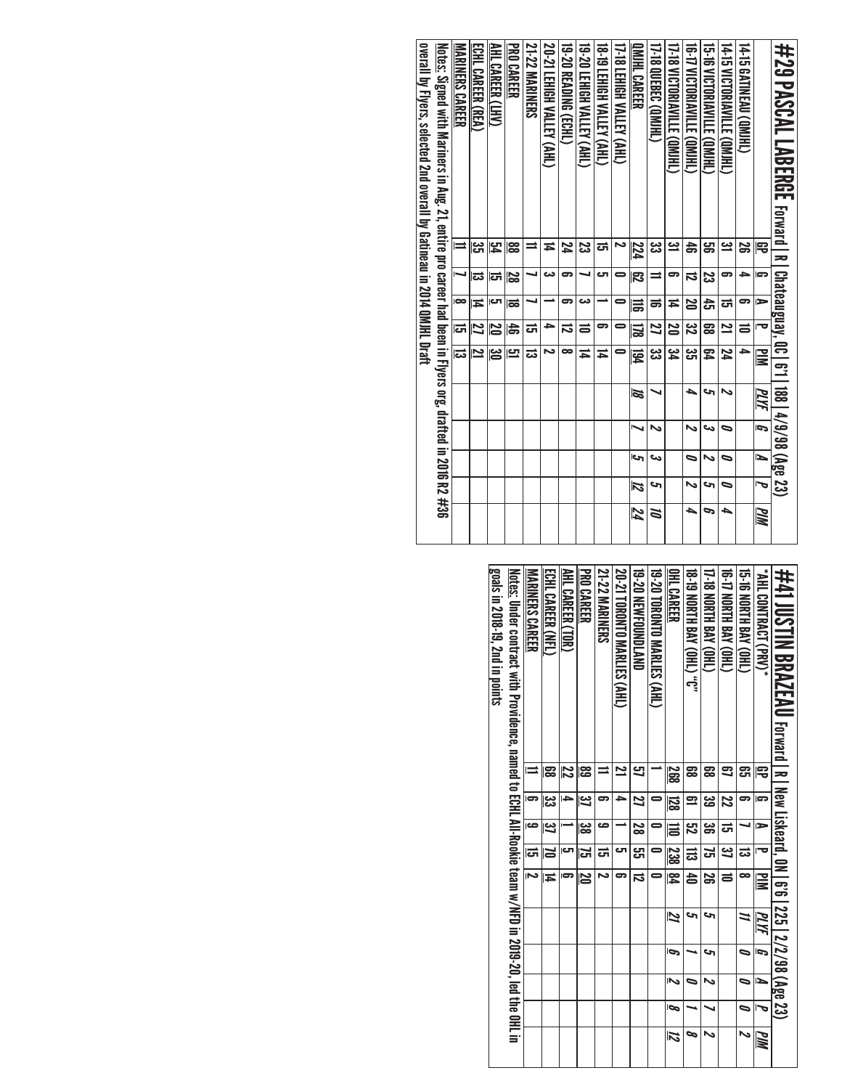| N<br>J<br>s<br>حە<br>12<br>∍<br>74<br>┶<br>┶<br>P<br>MN<br>Z                                                                               |
|--------------------------------------------------------------------------------------------------------------------------------------------|
| <u>Notes:</u> Signed with Mariners in Aug. 21, entire pro career had been in Flyers org, drafted in 2016 R2 #36<br>  188   4/9/98 (Age 23) |

| ##41 JUSTIN BRAZEAU Ferward, 0.2/35   225   227 32/38 (Age 23)                                                   |                         |              |                         |                |                |    |    |                          |                          |    |
|------------------------------------------------------------------------------------------------------------------|-------------------------|--------------|-------------------------|----------------|----------------|----|----|--------------------------|--------------------------|----|
| <b>* AHL CONTRACT (PRS),</b>                                                                                     | ₽                       | E.           | ь                       |                | $\geq$         | MИ | 5  | N                        | J                        | MM |
| <b>G-B NORTH BAY (OHL)</b>                                                                                       | සූ                      | 5            |                         | ದ              | œ              |    | 0  | $\overline{\phantom{0}}$ | $\overline{\phantom{0}}$ | Z  |
| TG-TA NORTH BAY (OHL)                                                                                            | 3                       | Z            | <sub>ਹ</sub>            | 31             | $\equiv$       |    |    |                          |                          |    |
| 17-18 NORTH BAY (OHL)                                                                                            | జై                      | دە<br>قا     | $\overline{\mathbf{g}}$ | $\overline{5}$ | జ              | حہ | حہ | $\overline{a}$           |                          | ゝ  |
| <b>18.19 XORTH BAY (OHL)</b> 0"                                                                                  | ౙ                       | $\mathbf{r}$ | $\overline{52}$         | $\Xi$          | $\overline{a}$ | c  |    | 0                        |                          | ∞  |
| OHL CAREER                                                                                                       | 268                     | <u>128</u>   | $\equiv$                | 238 84         |                | 2  | Ģ  | $\overline{\mathbf{c}}$  | ā                        | 12 |
| <b>19-20 TORONTO MARLIES (AHL)</b>                                                                               |                         |              | 0                       |                |                |    |    |                          |                          |    |
| <b>19-20 NEWFOUNDLAND</b>                                                                                        | 9                       | Z            | $\overline{8}$          | ဌា             | $\overline{5}$ |    |    |                          |                          |    |
| 20-21 TORONTO MARLIES (AHL)                                                                                      | $\overline{\mathbf{z}}$ | ≏            |                         | ౮              |                |    |    |                          |                          |    |
| <b>21-22 MARINERS</b>                                                                                            |                         | 5            | ڡ                       | ಪ              | N              |    |    |                          |                          |    |
| <b>PRO CAREER</b>                                                                                                | အ                       | 31           | జ                       | 5              | 20             |    |    |                          |                          |    |
| AHL CAREER (TOR)                                                                                                 | 12                      | →            |                         | రా             |                |    |    |                          |                          |    |
| ECHL CAREER (NFL)                                                                                                | ၼ                       | دے<br>ح      | 37                      | N              | Ħ              |    |    |                          |                          |    |
| <b>MARINERS CAREER</b>                                                                                           |                         | Б            | ص                       | $\vec{5}$      | N              |    |    |                          |                          |    |
| Notes: Under contract with Providence, asmed to ECHL All-Pookie team of CHL All-Socience, 1919-20, 1ed the OHL i |                         |              |                         |                |                |    |    |                          |                          |    |
| goals in 2018-19, 2nd in points                                                                                  |                         |              |                         |                |                |    |    |                          |                          |    |
|                                                                                                                  |                         |              |                         |                |                |    |    |                          |                          |    |